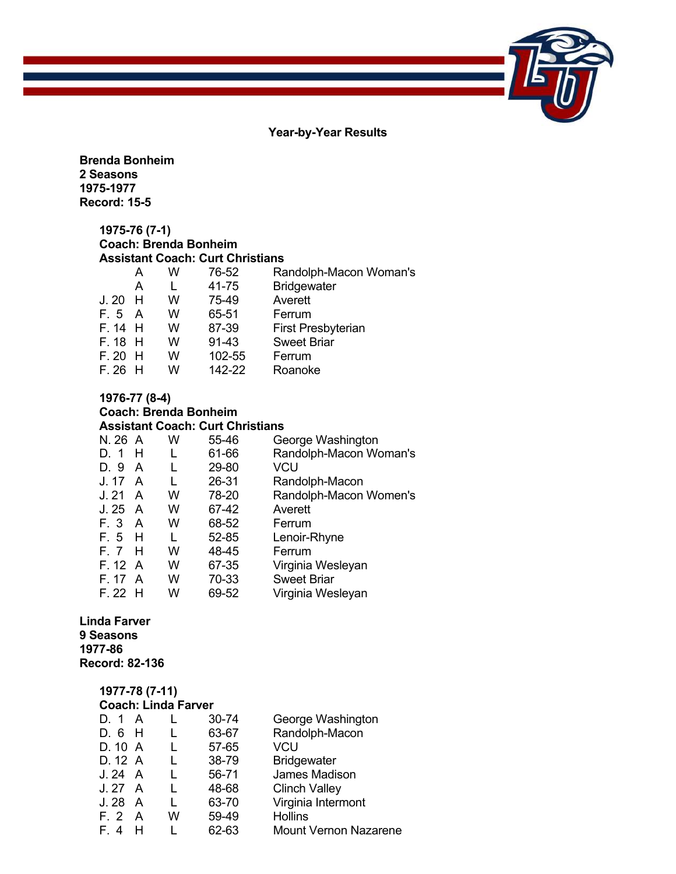**Year-by-Year Results** 

**Brenda Bonheim 2 Seasons 1975-1977 Record: 15-5**

#### **1975-76 (7-1) Coach: Brenda Bonheim Assistant Coach: Curt Christians**

|           | А   | w | 76-52  | Randolph-Macon Woman's    |
|-----------|-----|---|--------|---------------------------|
|           | A   |   | 41-75  | <b>Bridgewater</b>        |
| J.20      | - H | w | 75-49  | Averett                   |
| F. 5      | A   | w | 65-51  | Ferrum                    |
| $F.14$ H  |     | w | 87-39  | <b>First Presbyterian</b> |
| $F. 18$ H |     | w | 91-43  | <b>Sweet Briar</b>        |
| $F. 20$ H |     | w | 102-55 | Ferrum                    |
| F.26      |     | w | 142-22 | Roanoke                   |

# **1976-77 (8-4) Coach: Brenda Bonheim**

#### **Assistant Coach: Curt Christians**  N. 26 A W 55-46 George Washington<br>D. 1 H L 61-66 Randolph-Macon Wo L 61-66 Randolph-Macon Woman's<br>L 29-80 VCU D. 9 A J. 17 A L 26-31 Randolph-Macon W 78-20 Randolph-Macon Women's<br>W 67-42 Averett  $J. 25 A$ F. 3 A W 68-52 Ferrum F. 5 H L 52-85 Lenoir-Rhyne F. 7 H W 48-45 Ferrum<br>F. 12 A W 67-35 Virginia F. 12 A W 67-35 Virginia Wesleyan<br>F. 17 A W 70-33 Sweet Briar F. 17 A W 70-33 Sweet Briar<br>F. 22 H W 69-52 Virginia Wes W 69-52 Virginia Wesleyan

#### **Linda Farver 9 Seasons 1977-86 Record: 82-136**

#### **1977-78 (7-11) Coach: Linda Farver**

| D. 1    | $\mathsf{A}$ |   | 30-74 | George Washington            |
|---------|--------------|---|-------|------------------------------|
| D. 6    | Н            |   | 63-67 | Randolph-Macon               |
| D. 10 A |              |   | 57-65 | VCU                          |
| D. 12 A |              |   | 38-79 | <b>Bridgewater</b>           |
| J. 24 A |              |   | 56-71 | James Madison                |
| J. 27   | A            |   | 48-68 | <b>Clinch Valley</b>         |
| J. 28   | $\mathsf{A}$ |   | 63-70 | Virginia Intermont           |
| F. 2    | A            | w | 59-49 | <b>Hollins</b>               |
| F 4     | н            |   | 62-63 | <b>Mount Vernon Nazarene</b> |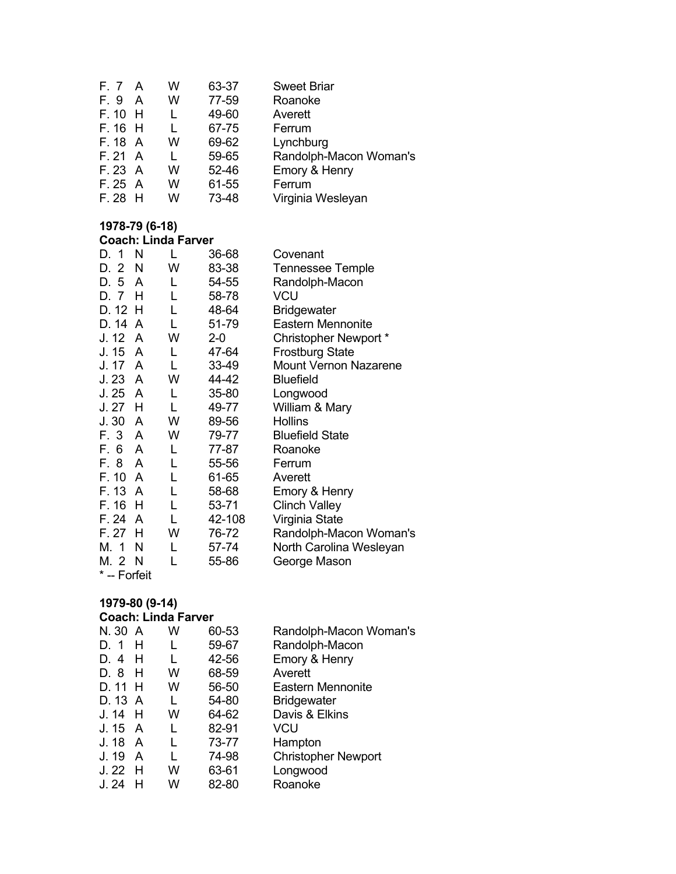| F. 7 A    | w | 63-37 | <b>Sweet Briar</b>     |
|-----------|---|-------|------------------------|
| - A       | w | 77-59 | Roanoke                |
| $F. 10$ H |   | 49-60 | Averett                |
| $F. 16$ H |   | 67-75 | Ferrum                 |
| F. 18 A   | w | 69-62 | Lynchburg              |
| F. 21 A   |   | 59-65 | Randolph-Macon Woman's |
| F. 23 A   | w | 52-46 | Emory & Henry          |
| F.25A     | w | 61-55 | Ferrum                 |
| $F. 28$ H | w | 73-48 | Virginia Wesleyan      |
|           |   |       |                        |

#### **1978-79 (6-18) Coach: Linda Farver**

| D. 1         | N | L | 36-68  | Covenant                     |
|--------------|---|---|--------|------------------------------|
| D. 2         | N | W | 83-38  | <b>Tennessee Temple</b>      |
| D. 5         | A | L | 54-55  | Randolph-Macon               |
| D. 7         | Н | L | 58-78  | VCU                          |
| D. 12 H      |   | L | 48-64  | <b>Bridgewater</b>           |
| D. 14        | A | L | 51-79  | <b>Eastern Mennonite</b>     |
| J. 12        | A | W | $2-0$  | Christopher Newport *        |
| J. 15        | A | L | 47-64  | <b>Frostburg State</b>       |
| J. 17        | A | L | 33-49  | <b>Mount Vernon Nazarene</b> |
| J. 23        | A | W | 44-42  | <b>Bluefield</b>             |
| J. 25        | A | L | 35-80  | Longwood                     |
| J. 27        | н | L | 49-77  | William & Mary               |
| J.30         | A | W | 89-56  | <b>Hollins</b>               |
| F. 3         | A | W | 79-77  | <b>Bluefield State</b>       |
| F. 6         | A | L | 77-87  | Roanoke                      |
| F. 8         | A | L | 55-56  | Ferrum                       |
| F. 10        | A | L | 61-65  | Averett                      |
| F. 13        | A |   | 58-68  | Emory & Henry                |
| F. 16        | Н | L | 53-71  | <b>Clinch Valley</b>         |
| F. 24        | A |   | 42-108 | Virginia State               |
| F. 27        | H | W | 76-72  | Randolph-Macon Woman's       |
| M. 1         | N | L | 57-74  | North Carolina Wesleyan      |
| M. 2 N       |   |   | 55-86  | George Mason                 |
| * -- Forfeit |   |   |        |                              |

# **1979-80 (9-14)**

#### **Coach: Linda Farver**

| A         | W | 60-53 | Randolph-Macon Woman's     |
|-----------|---|-------|----------------------------|
| н         |   | 59-67 | Randolph-Macon             |
| н         |   | 42-56 | Emory & Henry              |
| н         | w | 68-59 | Averett                    |
| D. 11 H   | w | 56-50 | <b>Eastern Mennonite</b>   |
| D. 13 A   |   | 54-80 | <b>Bridgewater</b>         |
| $J. 14$ H | w | 64-62 | Davis & Elkins             |
| J. 15 A   |   | 82-91 | VCU                        |
| A         |   | 73-77 | Hampton                    |
| A         |   | 74-98 | <b>Christopher Newport</b> |
| $J.22$ H  | w | 63-61 | Longwood                   |
| н         | W | 82-80 | Roanoke                    |
|           |   |       |                            |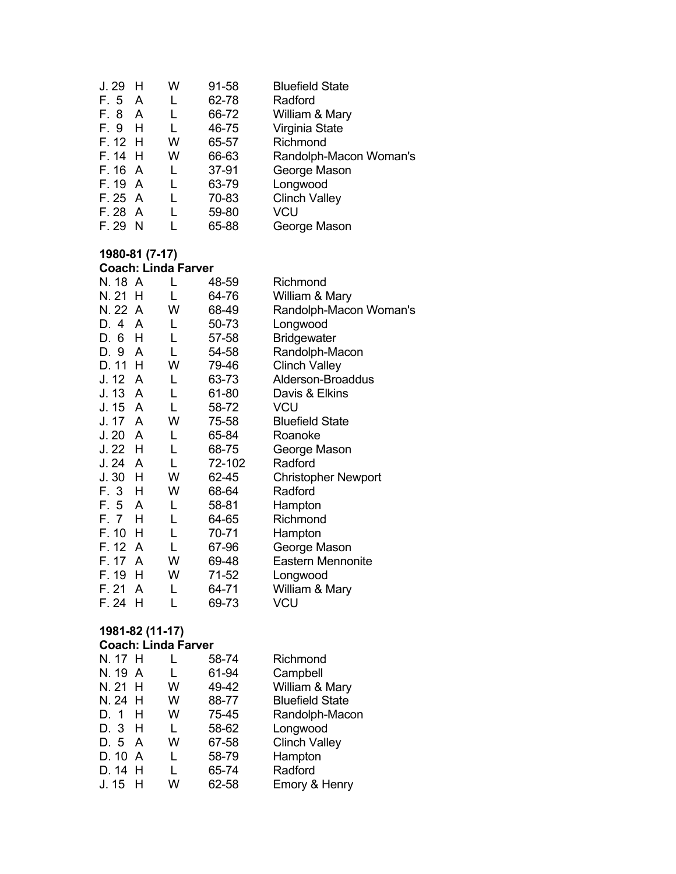| J. 29   |     | W | 91-58 | <b>Bluefield State</b> |
|---------|-----|---|-------|------------------------|
| F. 5    | A   |   | 62-78 | Radford                |
| F. 8    | A   |   | 66-72 | William & Mary         |
| F. 9    | н   |   | 46-75 | Virginia State         |
| F. 12 H |     | w | 65-57 | Richmond               |
| F. 14   | - H | w | 66-63 | Randolph-Macon Woman's |
| F. 16 A |     |   | 37-91 | George Mason           |
| F. 19 A |     |   | 63-79 | Longwood               |
| F.25A   |     |   | 70-83 | <b>Clinch Valley</b>   |
| F. 28   | A   |   | 59-80 | VCU                    |
| F. 29   | N   |   | 65-88 | George Mason           |

#### **1980-81 (7-17)**

|          | <b>Coach: Linda Farver</b> |   |        |                            |  |  |  |
|----------|----------------------------|---|--------|----------------------------|--|--|--|
| N. 18 A  |                            |   | 48-59  | Richmond                   |  |  |  |
| N. 21    | Н                          | L | 64-76  | William & Mary             |  |  |  |
| N. 22 A  |                            | W | 68-49  | Randolph-Macon Woman's     |  |  |  |
| D. 4     | A                          | L | 50-73  | Longwood                   |  |  |  |
| D. 6     | H                          | L | 57-58  | <b>Bridgewater</b>         |  |  |  |
| D. 9 A   |                            | L | 54-58  | Randolph-Macon             |  |  |  |
| D. 11    | н                          | W | 79-46  | <b>Clinch Valley</b>       |  |  |  |
| J. 12    | A                          | L | 63-73  | Alderson-Broaddus          |  |  |  |
| J. 13    | A                          | L | 61-80  | Davis & Elkins             |  |  |  |
| J. 15    | A                          | L | 58-72  | VCU                        |  |  |  |
| J. 17    | A                          | W | 75-58  | <b>Bluefield State</b>     |  |  |  |
| J. 20    | A                          | L | 65-84  | Roanoke                    |  |  |  |
| J. 22    | H                          | L | 68-75  | George Mason               |  |  |  |
| J.24     | A                          | L | 72-102 | Radford                    |  |  |  |
| $J.30$ H |                            | W | 62-45  | <b>Christopher Newport</b> |  |  |  |
| F. 3     | н                          | w | 68-64  | Radford                    |  |  |  |
| F. 5 A   |                            | L | 58-81  | Hampton                    |  |  |  |
| F. 7     | Н                          | L | 64-65  | Richmond                   |  |  |  |
| F. 10    | н                          | L | 70-71  | Hampton                    |  |  |  |
| F. 12    | A                          | L | 67-96  | George Mason               |  |  |  |
| F. 17    | A                          | W | 69-48  | <b>Eastern Mennonite</b>   |  |  |  |
| F. 19    | н                          | W | 71-52  | Longwood                   |  |  |  |
| F. 21    | A                          | L | 64-71  | William & Mary             |  |  |  |
| F. 24    | н                          |   | 69-73  | VCU                        |  |  |  |
|          |                            |   |        |                            |  |  |  |

#### **1981-82 (11-17)**

#### **Coach: Linda Farver**

| N. 17 H   |   | 58-74 | Richmond               |
|-----------|---|-------|------------------------|
| N. 19 A   |   | 61-94 | Campbell               |
| N. 21 H   | w | 49-42 | William & Mary         |
| N. 24 H   | W | 88-77 | <b>Bluefield State</b> |
| D. 1 H    | W | 75-45 | Randolph-Macon         |
| D. 3 H    | L | 58-62 | Longwood               |
| D. 5 A    | w | 67-58 | <b>Clinch Valley</b>   |
| D. 10 A   | L | 58-79 | Hampton                |
| D. 14 H   | L | 65-74 | Radford                |
| $J. 15$ H | w | 62-58 | Emory & Henry          |
|           |   |       |                        |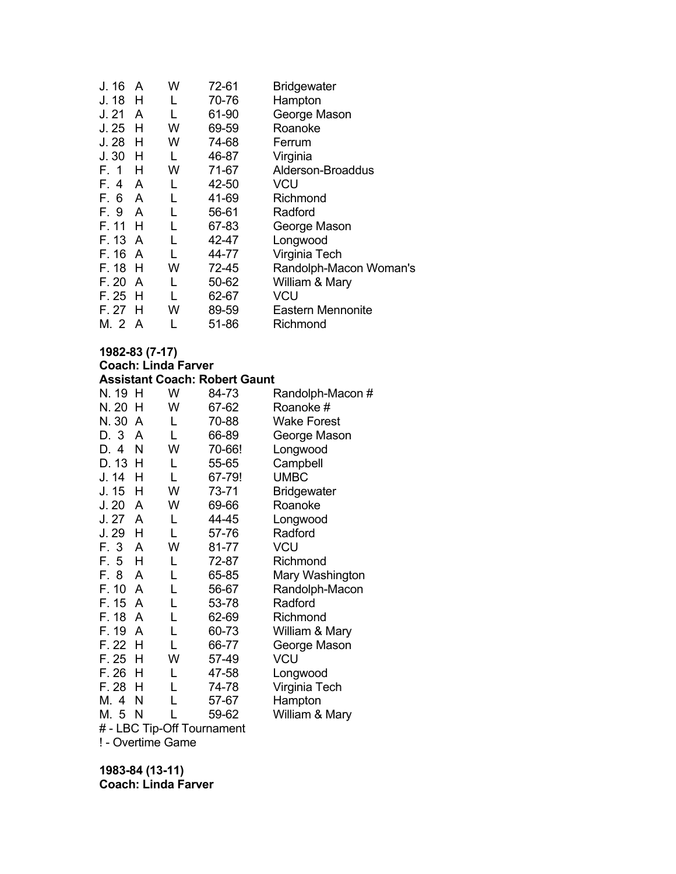| J. 16   | A | w | 72-61 | <b>Bridgewater</b>     |
|---------|---|---|-------|------------------------|
| J. 18   | H | L | 70-76 | Hampton                |
| J. 21   | A | L | 61-90 | George Mason           |
| J.25    | н | w | 69-59 | Roanoke                |
| J.28    | н | w | 74-68 | Ferrum                 |
| J.30    | н | L | 46-87 | Virginia               |
| F. 1    | н | w | 71-67 | Alderson-Broaddus      |
| F. 4 A  |   | L | 42-50 | <b>VCU</b>             |
| F. 6 A  |   | L | 41-69 | Richmond               |
| F. 9 A  |   | L | 56-61 | Radford                |
| F. 11   | н |   | 67-83 | George Mason           |
| F. 13 A |   | L | 42-47 | Longwood               |
| F. 16 A |   |   | 44-77 | Virginia Tech          |
| F. 18   | H | w | 72-45 | Randolph-Macon Woman's |
| F. 20   | A | L | 50-62 | William & Mary         |
| F. 25   | H | L | 62-67 | VCU                    |
| F. 27   | н | w | 89-59 | Eastern Mennonite      |
| M. 2 A  |   |   | 51-86 | Richmond               |

#### **1982-83 (7-17) Coach: Linda Farver Assistant Coach: Robert Gaunt**

| N. 19 | Н | W | 84-73                      | Randolph-Macon #   |
|-------|---|---|----------------------------|--------------------|
| N. 20 | н | W | 67-62                      | Roanoke #          |
| N. 30 | A | L | 70-88                      | Wake Forest        |
| D. 3  | A | L | 66-89                      | George Mason       |
| D. 4  | N | W | 70-66!                     | Longwood           |
| D. 13 | Н | L | 55-65                      | Campbell           |
| J. 14 | н | L | 67-79!                     | <b>UMBC</b>        |
| J. 15 | н | W | 73-71                      | <b>Bridgewater</b> |
| J.20  | A | W | 69-66                      | Roanoke            |
| J.27  | A | L | 44-45                      | Longwood           |
| J. 29 | н | L | 57-76                      | Radford            |
| F. 3  | A | W | 81-77                      | <b>VCU</b>         |
| F. 5  | н | L | 72-87                      | Richmond           |
| F. 8  | A | L | 65-85                      | Mary Washington    |
| F. 10 | A | L | 56-67                      | Randolph-Macon     |
| F. 15 | A | L | 53-78                      | Radford            |
| F. 18 | A | L | 62-69                      | Richmond           |
| F. 19 | A | L | 60-73                      | William & Mary     |
| F. 22 | н | L | 66-77                      | George Mason       |
| F. 25 | н | W | 57-49                      | <b>VCU</b>         |
| F. 26 | н | L | 47-58                      | Longwood           |
| F. 28 | н | L | 74-78                      | Virginia Tech      |
| M. 4  | N | L | 57-67                      | Hampton            |
| M. 5  | N |   | 59-62                      | William & Mary     |
|       |   |   | # - LBC Tip-Off Tournament |                    |

! - Overtime Game

**1983-84 (13-11) Coach: Linda Farver**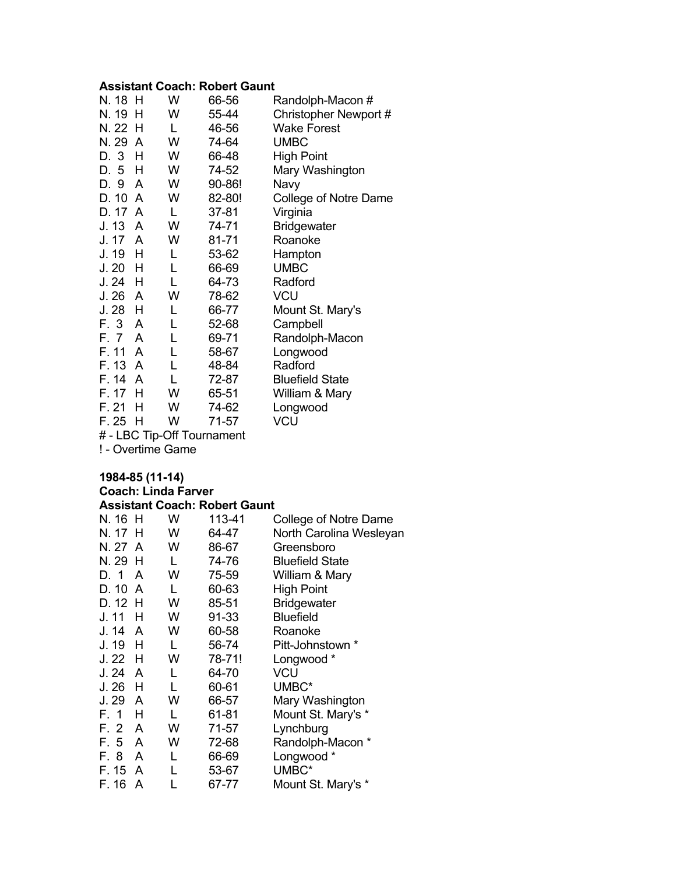#### **Assistant Coach: Robert Gaunt**

| N. 18 | H | W | 66-56  | Randolph-Macon #       |
|-------|---|---|--------|------------------------|
| N. 19 | н | W | 55-44  | Christopher Newport #  |
| N. 22 | н | L | 46-56  | <b>Wake Forest</b>     |
| N. 29 | A | W | 74-64  | <b>UMBC</b>            |
| D. 3  | н | W | 66-48  | High Point             |
| D. 5  | н | W | 74-52  | Mary Washington        |
| D. 9  | A | W | 90-86! | Navy                   |
| D. 10 | A | W | 82-80! | College of Notre Dame  |
| D. 17 | A | L | 37-81  | Virginia               |
| J. 13 | A | W | 74-71  | <b>Bridgewater</b>     |
| J. 17 | A | W | 81-71  | Roanoke                |
| J. 19 | н | L | 53-62  | Hampton                |
| J. 20 | н | L | 66-69  | <b>UMBC</b>            |
| J. 24 | н | L | 64-73  | Radford                |
| J. 26 | A | W | 78-62  | <b>VCU</b>             |
| J. 28 | н | L | 66-77  | Mount St. Mary's       |
| F. 3  | A | L | 52-68  | Campbell               |
| F. 7  | A | L | 69-71  | Randolph-Macon         |
| F. 11 | A | L | 58-67  | Longwood               |
| F. 13 | A | L | 48-84  | Radford                |
| F. 14 | A | L | 72-87  | <b>Bluefield State</b> |
| F. 17 | н | W | 65-51  | William & Mary         |
| F. 21 | н | W | 74-62  | Longwood               |
| F. 25 | н | W | 71-57  | VCU                    |

# - LBC Tip-Off Tournament

! - Overtime Game

#### **1984-85 (11-14) Coach: Linda Farver Assistant Coach: Robert Gaunt**

| N. 16 H |                | W | 113-41 | College of Notre Dame   |
|---------|----------------|---|--------|-------------------------|
| N. 17   | H              | W | 64-47  | North Carolina Wesleyan |
| N. 27 A |                | W | 86-67  | Greensboro              |
| N. 29 H |                | L | 74-76  | <b>Bluefield State</b>  |
| D. 1    | A              | W | 75-59  | William & Mary          |
| D. 10   | $\overline{A}$ | L | 60-63  | <b>High Point</b>       |
| D. 12 H |                | W | 85-51  | <b>Bridgewater</b>      |
| J. 11   | н              | W | 91-33  | <b>Bluefield</b>        |
| J. 14   | A              | W | 60-58  | Roanoke                 |
| J. 19   | н              | L | 56-74  | Pitt-Johnstown *        |
| J. 22   | н              | W | 78-71! | Longwood *              |
| J. 24   | A              | L | 64-70  | VCU                     |
| J. 26   | н              | L | 60-61  | UMBC*                   |
| J. 29   | A              | W | 66-57  | Mary Washington         |
| F. 1    | н              | L | 61-81  | Mount St. Mary's *      |
| F. 2    | A              | W | 71-57  | Lynchburg               |
| F. 5    | A              | W | 72-68  | Randolph-Macon *        |
| F. 8    | A              | L | 66-69  | Longwood *              |
| F. 15   | A              | L | 53-67  | UMBC*                   |
| F. 16   | A              |   | 67-77  | Mount St. Mary's *      |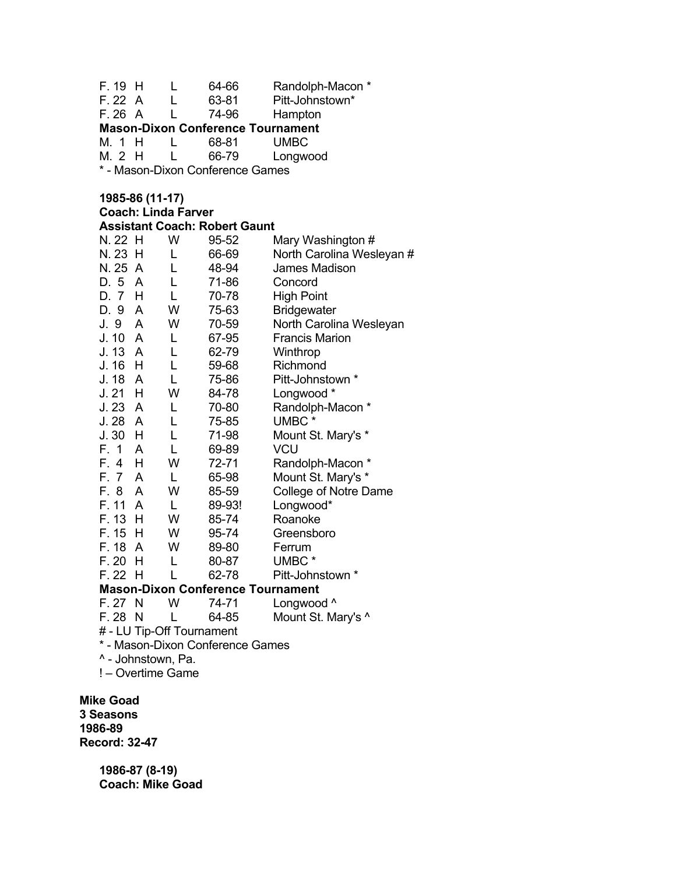| F. 19                         | н | L                                    | 64-66          | Randolph-Macon *                         |
|-------------------------------|---|--------------------------------------|----------------|------------------------------------------|
| F. 22                         | A | L                                    | 63-81          | Pitt-Johnstown*                          |
| F.26A                         |   |                                      | 74-96          | Hampton                                  |
|                               |   |                                      |                | <b>Mason-Dixon Conference Tournament</b> |
| M. 1 H                        |   | L                                    | 68-81          | <b>UMBC</b>                              |
| M. 2 H                        |   | L                                    | 66-79          | Longwood                                 |
|                               |   | * - Mason-Dixon Conference Games     |                |                                          |
|                               |   |                                      |                |                                          |
|                               |   | 1985-86 (11-17)                      |                |                                          |
|                               |   | <b>Coach: Linda Farver</b>           |                |                                          |
|                               |   | <b>Assistant Coach: Robert Gaunt</b> |                |                                          |
| N. 22 H                       |   | W                                    | 95-52          | Mary Washington #                        |
| N. 23 H                       |   | L                                    | 66-69          | North Carolina Wesleyan #                |
| N. 25 A                       |   | L                                    | 48-94          | James Madison                            |
| D. 5 A                        |   | L                                    | 71-86          | Concord                                  |
| D. 7 H                        |   | L                                    | 70-78          | <b>High Point</b>                        |
| D. 9                          | A | W                                    | 75-63          | <b>Bridgewater</b>                       |
| J. 9                          | A | W                                    | 70-59          | North Carolina Wesleyan                  |
| J. 10 A                       |   | L                                    | 67-95          | <b>Francis Marion</b>                    |
| J. 13 A                       |   | L                                    | 62-79          | Winthrop                                 |
| J. 16 H                       |   | L                                    | 59-68          | Richmond                                 |
| J. 18                         | A | L                                    | 75-86          | Pitt-Johnstown *                         |
| $J. 21$ H                     |   | W                                    | 84-78          | Longwood *                               |
| J.23A                         |   | L                                    | 70-80          | Randolph-Macon *                         |
| J.28A                         |   | L                                    | 75-85          | UMBC*                                    |
| $J.30$ H<br>F. 1              | A | L<br>L                               | 71-98          | Mount St. Mary's *<br>VCU                |
| F. 4 H                        |   | W                                    | 69-89<br>72-71 |                                          |
| $\overline{7}$<br>F.          | A | L                                    | 65-98          | Randolph-Macon *<br>Mount St. Mary's *   |
| F. 8                          | A | W                                    | 85-59          | College of Notre Dame                    |
| F. 11                         | A | L                                    | 89-93!         | Longwood*                                |
| F. 13                         | H | W                                    | 85-74          | Roanoke                                  |
| F. 15                         | H | W                                    | 95-74          | Greensboro                               |
| F. 18                         | A | W                                    | 89-80          | Ferrum                                   |
| F.20                          | H | L                                    | 80-87          | UMBC*                                    |
| F. 22 H                       |   | └                                    | 62-78          | Pitt-Johnstown *                         |
|                               |   |                                      |                | <b>Mason-Dixon Conference Tournament</b> |
| F. 27 N                       |   | W                                    | 74-71          | Longwood ^                               |
| $F.28$ N                      |   | L                                    | 64-85          | Mount St. Mary's ^                       |
|                               |   | # - LU Tip-Off Tournament            |                |                                          |
|                               |   | * - Mason-Dixon Conference Games     |                |                                          |
|                               |   | ^ - Johnstown, Pa.                   |                |                                          |
|                               |   | ! - Overtime Game                    |                |                                          |
|                               |   |                                      |                |                                          |
| <b>Mike Goad</b><br>3 Seasons |   |                                      |                |                                          |
| 1986-89                       |   |                                      |                |                                          |
| <b>Record: 32-47</b>          |   |                                      |                |                                          |

**1986-87 (8-19) Coach: Mike Goad**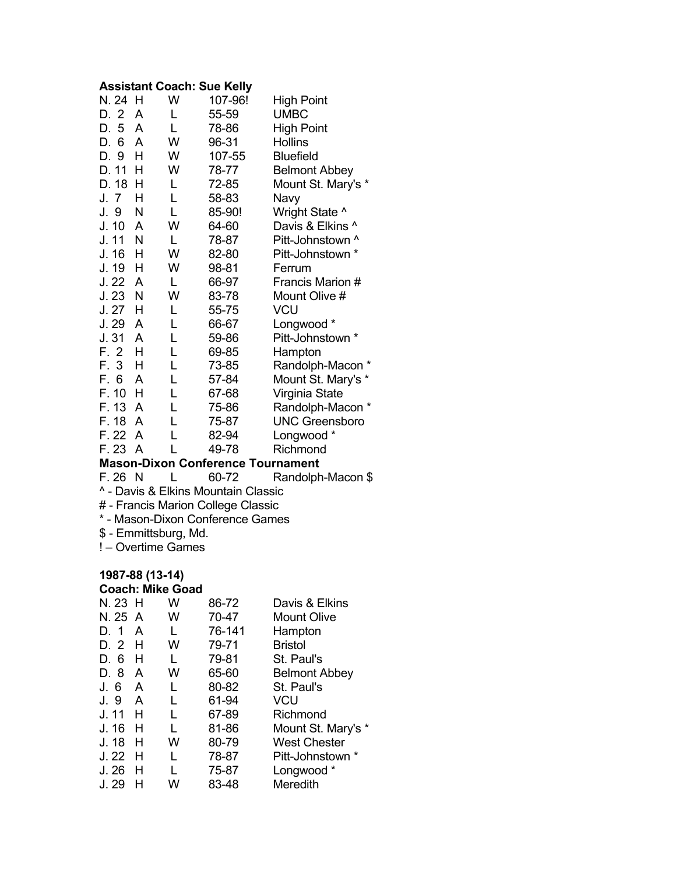#### **Assistant Coach: Sue Kelly**

| N. 24 H |   | W | 107-96! | <b>High Point</b>     |
|---------|---|---|---------|-----------------------|
| D. 2    | A | L | 55-59   | <b>UMBC</b>           |
| D. 5    | A | L | 78-86   | <b>High Point</b>     |
| D. 6    | A | W | 96-31   | <b>Hollins</b>        |
| D. 9    | н | W | 107-55  | <b>Bluefield</b>      |
| D. 11   | н | W | 78-77   | <b>Belmont Abbey</b>  |
| D. 18   | H | L | 72-85   | Mount St. Mary's *    |
| J. 7    | н | L | 58-83   | Navy                  |
| J. 9    | Ν | L | 85-90!  | Wright State ^        |
| J. 10   | A | W | 64-60   | Davis & Elkins ^      |
| J. 11   | N | L | 78-87   | Pitt-Johnstown ^      |
| J. 16   | н | W | 82-80   | Pitt-Johnstown *      |
| J. 19   | н | W | 98-81   | Ferrum                |
| J.22    | A | L | 66-97   | Francis Marion #      |
| J.23    | N | W | 83-78   | Mount Olive #         |
| J. 27   | н | L | 55-75   | VCU                   |
| J. 29   | A | L | 66-67   | Longwood *            |
| J. 31   | A | L | 59-86   | Pitt-Johnstown *      |
| F. 2    | н | L | 69-85   | Hampton               |
| F. 3    | н | L | 73-85   | Randolph-Macon        |
| F. 6    | A | L | 57-84   | Mount St. Mary's *    |
| F. 10   | Н | L | 67-68   | Virginia State        |
| F. 13   | A | L | 75-86   | Randolph-Macon *      |
| F. 18   | A | L | 75-87   | <b>UNC Greensboro</b> |
| F. 22   | A | L | 82-94   | Longwood *            |
| F. 23   | A |   | 49-78   | Richmond              |

# **Mason-Dixon Conference Tournament**<br>F. 26 N L 60-72 Randolph

Randolph-Macon \$

^ - Davis & Elkins Mountain Classic

# - Francis Marion College Classic

\* - Mason-Dixon Conference Games

\$ - Emmittsburg, Md.

! – Overtime Games

#### **1987-88 (13-14)**

#### **Coach: Mike Goad**

| N. 23 H |   | W | 86-72  | Davis & Elkins       |
|---------|---|---|--------|----------------------|
| N. 25 A |   | w | 70-47  | <b>Mount Olive</b>   |
| D. 1    | A |   | 76-141 | Hampton              |
| D. 2    | H | w | 79-71  | <b>Bristol</b>       |
| D. 6    | н |   | 79-81  | St. Paul's           |
| D. 8    | A | W | 65-60  | <b>Belmont Abbey</b> |
| J. 6    | A | L | 80-82  | St. Paul's           |
| J. 9    | A | L | 61-94  | VCU                  |
| J. 11   | н |   | 67-89  | Richmond             |
| J. 16   | н |   | 81-86  | Mount St. Mary's *   |
| J. 18   | н | w | 80-79  | West Chester         |
| J. 22   | H | L | 78-87  | Pitt-Johnstown *     |
| J.26    | н |   | 75-87  | Longwood *           |
| J. 29   |   | w | 83-48  | Meredith             |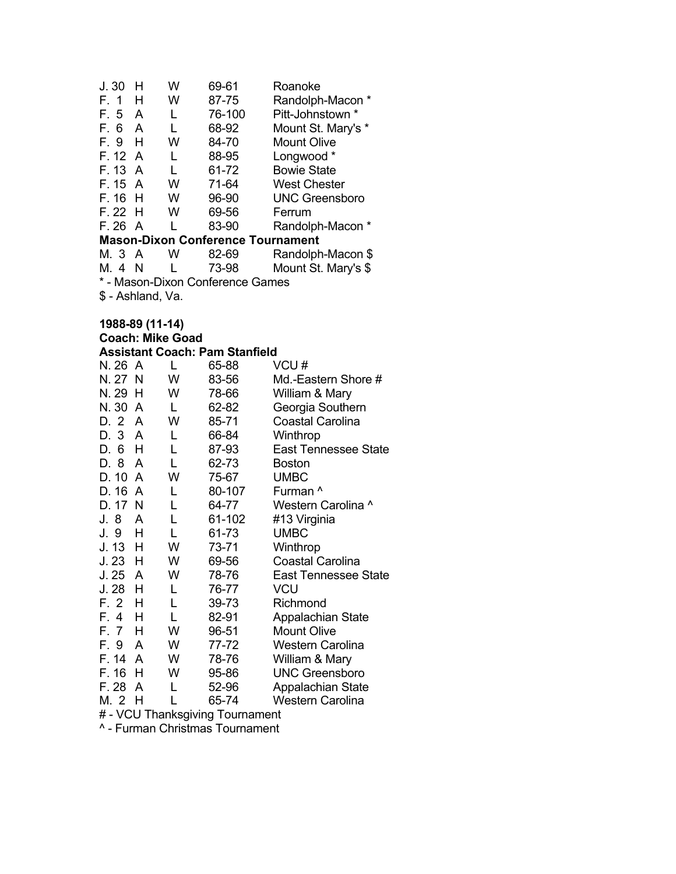| J.30                             | н                 | w | 69-61                                    | Roanoke               |  |  |
|----------------------------------|-------------------|---|------------------------------------------|-----------------------|--|--|
| F. 1                             | н                 | W | 87-75                                    | Randolph-Macon *      |  |  |
| F. 5                             | A                 | L | 76-100                                   | Pitt-Johnstown *      |  |  |
| F. 6                             | A                 | L | 68-92                                    | Mount St. Mary's *    |  |  |
| F. 9                             | н                 | W | 84-70                                    | <b>Mount Olive</b>    |  |  |
| F. 12 A                          |                   | L | 88-95                                    | Longwood *            |  |  |
| F. 13                            | A                 | L | 61-72                                    | <b>Bowie State</b>    |  |  |
| F. 15                            | A                 | W | 71-64                                    | <b>West Chester</b>   |  |  |
| F. 16                            | Н                 | W | 96-90                                    | <b>UNC Greensboro</b> |  |  |
| F. 22                            | H                 | W | 69-56                                    | Ferrum                |  |  |
| F. 26 A                          |                   |   | 83-90                                    | Randolph-Macon        |  |  |
|                                  |                   |   | <b>Mason-Dixon Conference Tournament</b> |                       |  |  |
| M. 3 A                           |                   | w | 82-69                                    | Randolph-Macon \$     |  |  |
| M. 4                             | - N               | L | 73-98                                    | Mount St. Mary's \$   |  |  |
| * - Mason-Dixon Conference Games |                   |   |                                          |                       |  |  |
|                                  | \$ - Ashland, Va. |   |                                          |                       |  |  |

# **1988-89 (11-14)**

| 1988-89 (11-14) |                         |                                       |                             |  |  |  |
|-----------------|-------------------------|---------------------------------------|-----------------------------|--|--|--|
|                 | <b>Coach: Mike Goad</b> |                                       |                             |  |  |  |
|                 |                         | <b>Assistant Coach: Pam Stanfield</b> |                             |  |  |  |
| N. 26 A         | L                       | 65-88                                 | VCU#                        |  |  |  |
| N. 27 N         | W                       | 83-56                                 | Md.-Eastern Shore #         |  |  |  |
| N. 29<br>H      | W                       | 78-66                                 | William & Mary              |  |  |  |
| N. 30<br>A      | L                       | 62-82                                 | Georgia Southern            |  |  |  |
| D. 2<br>A       | W                       | 85-71                                 | <b>Coastal Carolina</b>     |  |  |  |
| D. 3<br>A       | L                       | 66-84                                 | Winthrop                    |  |  |  |
| D. 6<br>Н       | L                       | 87-93                                 | <b>East Tennessee State</b> |  |  |  |
| D. 8<br>A       | L                       | 62-73                                 | <b>Boston</b>               |  |  |  |
| D. 10<br>A      | W                       | 75-67                                 | <b>UMBC</b>                 |  |  |  |
| D. 16<br>A      | L                       | 80-107                                | Furman ^                    |  |  |  |
| D. 17 N         | L                       | 64-77                                 | Western Carolina ^          |  |  |  |
| J. 8<br>A       | L                       | 61-102                                | #13 Virginia                |  |  |  |
| J. 9<br>н       | L                       | 61-73                                 | <b>UMBC</b>                 |  |  |  |
| J. 13<br>н      | W                       | 73-71                                 | Winthrop                    |  |  |  |
| J. 23<br>н      | W                       | 69-56                                 | <b>Coastal Carolina</b>     |  |  |  |
| J. 25<br>A      | w                       | 78-76                                 | <b>East Tennessee State</b> |  |  |  |
| J. 28<br>н      | L                       | 76-77                                 | VCU                         |  |  |  |
| F. 2<br>н       | L                       | 39-73                                 | Richmond                    |  |  |  |
| F. 4<br>н       |                         | 82-91                                 | Appalachian State           |  |  |  |

F. 7 H W 96-51 Mount Olive<br>F. 9 A W 77-72 Western Car F. 9 A W 77-72 Western Carolina<br>F. 14 A W 78-76 William & Mary F. 14 A W 78-76 William & Mary<br>F. 16 H W 95-86 UNC Greensbol F. 16 H W 95-86 UNC Greensboro<br>F. 28 A L 52-96 Appalachian State F. 28 A L 52-96 Appalachian State<br>M. 2 H L 65-74 Western Carolina

# - VCU Thanksgiving Tournament ^ - Furman Christmas Tournament

**Western Carolina**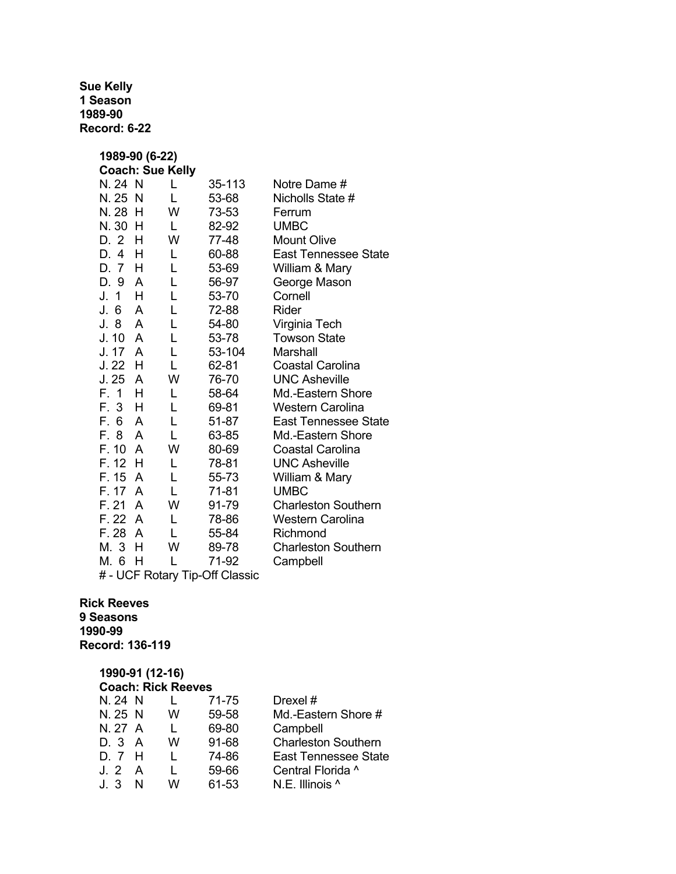**Sue Kelly 1 Season 1989-90 Record: 6-22** 

| 1989-90 (6-22)                 |   |        |                             |  |  |  |
|--------------------------------|---|--------|-----------------------------|--|--|--|
| <b>Coach: Sue Kelly</b>        |   |        |                             |  |  |  |
| N. 24 N                        | L | 35-113 | Notre Dame #                |  |  |  |
| N. 25<br>- N                   | L | 53-68  | Nicholls State #            |  |  |  |
| N. 28<br>H                     | W | 73-53  | Ferrum                      |  |  |  |
| N. 30<br>H                     | L | 82-92  | <b>UMBC</b>                 |  |  |  |
| D. 2<br>н                      | W | 77-48  | <b>Mount Olive</b>          |  |  |  |
| D. 4<br>H                      | L | 60-88  | <b>East Tennessee State</b> |  |  |  |
| D. 7<br>H                      | L | 53-69  | William & Mary              |  |  |  |
| A<br>D. 9                      | L | 56-97  | George Mason                |  |  |  |
| J.<br>$\mathbf{1}$<br>н        | L | 53-70  | Cornell                     |  |  |  |
| 6<br>J.<br>A                   | L | 72-88  | Rider                       |  |  |  |
| 8<br>J.<br>A                   | L | 54-80  | Virginia Tech               |  |  |  |
| J. 10<br>A                     | L | 53-78  | <b>Towson State</b>         |  |  |  |
| J. 17<br>A                     | L | 53-104 | Marshall                    |  |  |  |
| J. 22<br>н                     | L | 62-81  | Coastal Carolina            |  |  |  |
| J. 25<br>A                     | W | 76-70  | <b>UNC Asheville</b>        |  |  |  |
| F. 1<br>H                      | L | 58-64  | Md.-Eastern Shore           |  |  |  |
| F. 3<br>н                      | L | 69-81  | Western Carolina            |  |  |  |
| F. 6<br>A                      | L | 51-87  | <b>East Tennessee State</b> |  |  |  |
| F. 8<br>A                      | L | 63-85  | Md.-Eastern Shore           |  |  |  |
| F. 10<br>A                     | W | 80-69  | <b>Coastal Carolina</b>     |  |  |  |
| F. 12<br>H                     | L | 78-81  | <b>UNC Asheville</b>        |  |  |  |
| F. 15<br>A                     | L | 55-73  | William & Mary              |  |  |  |
| F. 17<br>A                     | L | 71-81  | <b>UMBC</b>                 |  |  |  |
| F. 21<br>A                     | W | 91-79  | <b>Charleston Southern</b>  |  |  |  |
| F. 22<br>A                     | L | 78-86  | <b>Western Carolina</b>     |  |  |  |
| F. 28<br>A                     | L | 55-84  | Richmond                    |  |  |  |
| M. 3<br>н                      | W | 89-78  | <b>Charleston Southern</b>  |  |  |  |
| М.<br>6<br>н                   | L | 71-92  | Campbell                    |  |  |  |
| # - UCF Rotary Tip-Off Classic |   |        |                             |  |  |  |

#### **Rick Reeves 9 Seasons 1990-99 Record: 136-119**

#### **1990-91 (12-16)**

|         | <b>Coach: Rick Reeves</b> |   |       |                             |  |  |  |
|---------|---------------------------|---|-------|-----------------------------|--|--|--|
| N. 24 N |                           |   | 71-75 | Drexel #                    |  |  |  |
| N. 25 N |                           | w | 59-58 | Md.-Eastern Shore #         |  |  |  |
| N. 27 A |                           |   | 69-80 | Campbell                    |  |  |  |
| D. 3 A  |                           | w | 91-68 | <b>Charleston Southern</b>  |  |  |  |
| D. 7 H  |                           |   | 74-86 | <b>East Tennessee State</b> |  |  |  |
| J. 2 A  |                           |   | 59-66 | Central Florida ^           |  |  |  |
| J. 3    | N                         | w | 61-53 | N.E. Illinois ^             |  |  |  |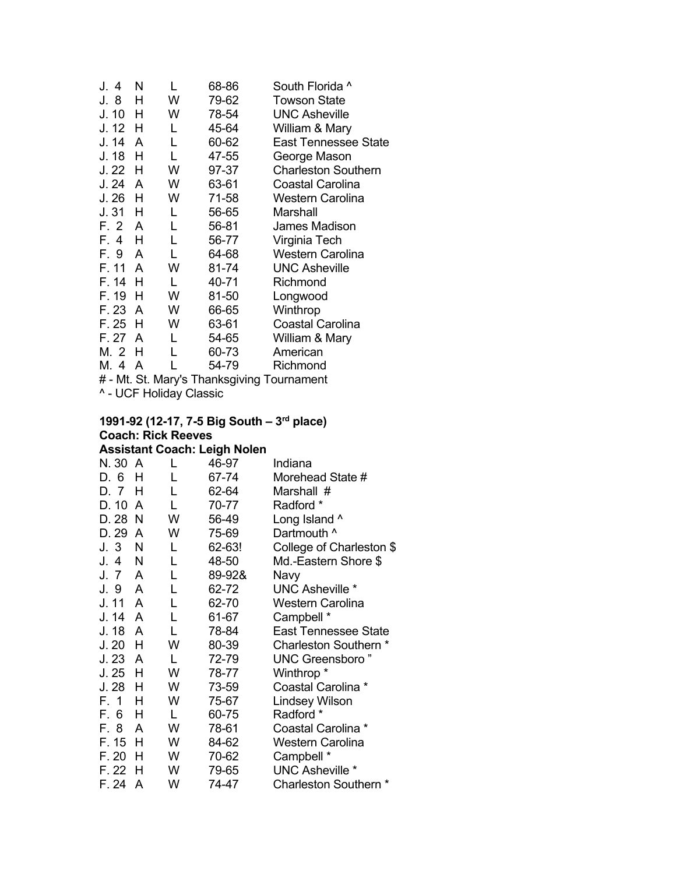| J. 4  | N |   | 68-86 | South Florida ^                            |
|-------|---|---|-------|--------------------------------------------|
| J. 8  | н | W | 79-62 | <b>Towson State</b>                        |
| J. 10 | н | W | 78-54 | <b>UNC Asheville</b>                       |
| J. 12 | н | L | 45-64 | William & Mary                             |
| J. 14 | A | L | 60-62 | East Tennessee State                       |
| J. 18 | н | L | 47-55 | George Mason                               |
| J. 22 | н | W | 97-37 | <b>Charleston Southern</b>                 |
| J. 24 | A | W | 63-61 | Coastal Carolina                           |
| J. 26 | н | W | 71-58 | Western Carolina                           |
| J. 31 | н | L | 56-65 | Marshall                                   |
| F. 2  | A | L | 56-81 | James Madison                              |
| F. 4  | н | L | 56-77 | Virginia Tech                              |
| F. 9  | A | L | 64-68 | <b>Western Carolina</b>                    |
| F. 11 | A | W | 81-74 | <b>UNC Asheville</b>                       |
| F. 14 | н | L | 40-71 | Richmond                                   |
| F. 19 | н | w | 81-50 | Longwood                                   |
| F. 23 | A | W | 66-65 | Winthrop                                   |
| F. 25 | н | W | 63-61 | <b>Coastal Carolina</b>                    |
| F. 27 | A | L | 54-65 | William & Mary                             |
| M. 2  | н | L | 60-73 | American                                   |
| M. 4  | A |   | 54-79 | Richmond                                   |
|       |   |   |       | # - Mt. St. Mary's Thanksgiving Tournament |

^ - UCF Holiday Classic

#### **1991-92 (12-17, 7-5 Big South – 3rd place) Coach: Rick Reeves Assistant Coach: Leigh Nolen**

| N. 30 A |   | L | 46-97  | Indiana                     |
|---------|---|---|--------|-----------------------------|
| D. 6    | н | L | 67-74  | Morehead State #            |
| D. 7    | н | L | 62-64  | Marshall #                  |
| D. 10   | A | L | 70-77  | Radford *                   |
| D. 28   | N | W | 56-49  | Long Island ^               |
| D. 29   | A | W | 75-69  | Dartmouth ^                 |
| J. 3    | N | L | 62-63! | College of Charleston \$    |
| J. 4    | N | L | 48-50  | Md.-Eastern Shore \$        |
| J. 7    | A | L | 89-92& | Navy                        |
| J. 9    | A | Г | 62-72  | <b>UNC Asheville *</b>      |
| J. 11   | A | L | 62-70  | <b>Western Carolina</b>     |
| J. 14   | A | L | 61-67  | Campbell *                  |
| J. 18   | A | L | 78-84  | <b>East Tennessee State</b> |
| J.20    | н | W | 80-39  | Charleston Southern *       |
| J.23    | A | L | 72-79  | <b>UNC Greensboro</b> "     |
| J. 25   | H | W | 78-77  | Winthrop <sup>*</sup>       |
| J.28    | н | W | 73-59  | Coastal Carolina *          |
| F. 1    | Н | W | 75-67  | <b>Lindsey Wilson</b>       |
| F. 6    | Н | L | 60-75  | Radford *                   |
| F. 8    | A | W | 78-61  | Coastal Carolina *          |
| F. 15   | Н | W | 84-62  | <b>Western Carolina</b>     |
| F. 20   | н | W | 70-62  | Campbell *                  |
| F. 22   | н | W | 79-65  | <b>UNC Asheville *</b>      |
| F. 24   | A | W | 74-47  | Charleston Southern *       |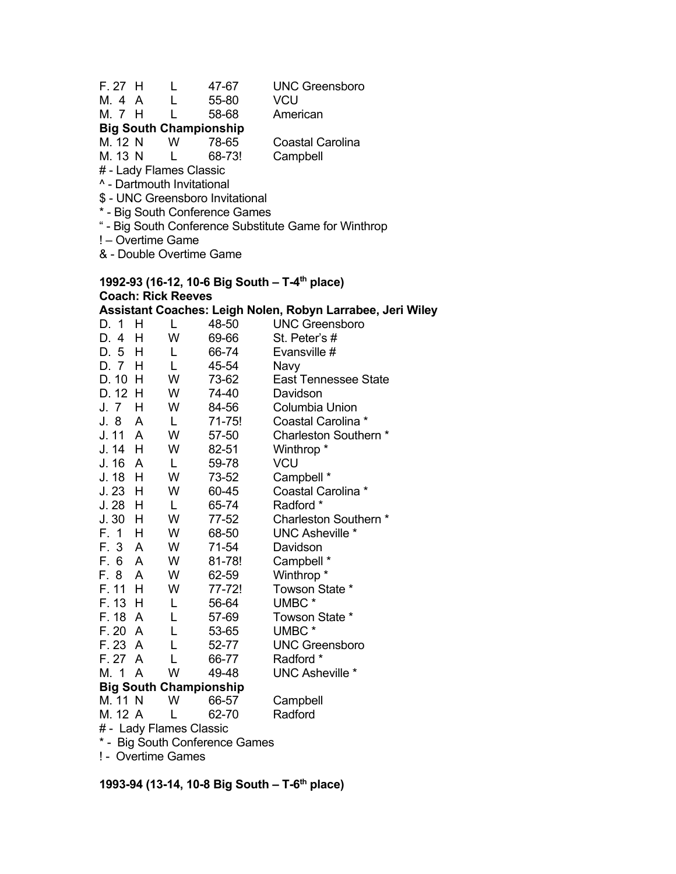- F. 27 H L 47-67 UNC Greensboro
- M. 4 A L 55-80 VCU
- M. 7 H L 58-68 American

# **Big South Championship**

| M. 12 N | w | 78-65  | Coastal Ca |
|---------|---|--------|------------|
| M. 13 N |   | 68-73! | Campbell   |

Coastal Carolina

# - Lady Flames Classic

^ - Dartmouth Invitational

- \$ UNC Greensboro Invitational
- \* Big South Conference Games
- " Big South Conference Substitute Game for Winthrop
- ! Overtime Game

& - Double Overtime Game

#### **1992-93 (16-12, 10-6 Big South – T-4th place) Coach: Rick Reeves Assistant Coaches: Leigh Nolen, Robyn Larrabee, Jeri Wiley**

| D. 1     | н | L | 48-50                         | <b>UNC Greensboro</b>       |
|----------|---|---|-------------------------------|-----------------------------|
| D.<br>4  | Н | W | 69-66                         | St. Peter's #               |
| D. 5 H   |   | L | 66-74                         | Evansville #                |
| D. 7     | н | L | 45-54                         | Navy                        |
| D. 10    | н | W | 73-62                         | <b>East Tennessee State</b> |
| D. 12    | н | W | 74-40                         | Davidson                    |
| J. 7     | н | W | 84-56                         | <b>Columbia Union</b>       |
| J. 8     | A | L | 71-75!                        | Coastal Carolina *          |
| J. 11 A  |   | W | 57-50                         | Charleston Southern *       |
| J. 14    | H | W | 82-51                         | Winthrop *                  |
| J. 16 A  |   | L | 59-78                         | <b>VCU</b>                  |
| J. 18    | н | W | 73-52                         | Campbell *                  |
| $J.23$ H |   | W | 60-45                         | Coastal Carolina *          |
| $J.28$ H |   | L | 65-74                         | Radford *                   |
| J. 30    | н | W | 77-52                         | Charleston Southern *       |
| F. 1     | Н | W | 68-50                         | <b>UNC Asheville *</b>      |
| F. 3 A   |   | W | 71-54                         | Davidson                    |
| F. 6 A   |   | W | 81-78!                        | Campbell *                  |
| F. 8     | A | W | 62-59                         | Winthrop <sup>*</sup>       |
| F. 11    | H | W | 77-72!                        | Towson State *              |
| F. 13 H  |   | L | 56-64                         | UMBC <sup>*</sup>           |
| F. 18    | A | L | 57-69                         | Towson State *              |
| F.20     | A | L | 53-65                         | UMBC*                       |
| F. 23 A  |   | L | 52-77                         | <b>UNC Greensboro</b>       |
| F. 27    | A | L | 66-77                         | Radford *                   |
| M. 1     | A | W | 49-48                         | <b>UNC Asheville *</b>      |
|          |   |   | <b>Big South Championship</b> |                             |
| M. 11 N  |   | W | 66-57                         | Campbell                    |
| M. 12 A  |   | L | 62-70                         | Radford                     |
|          |   |   |                               |                             |

# - Lady Flames Classic \* - Big South Conference Games

! - Overtime Games

**1993-94 (13-14, 10-8 Big South – T-6th place)**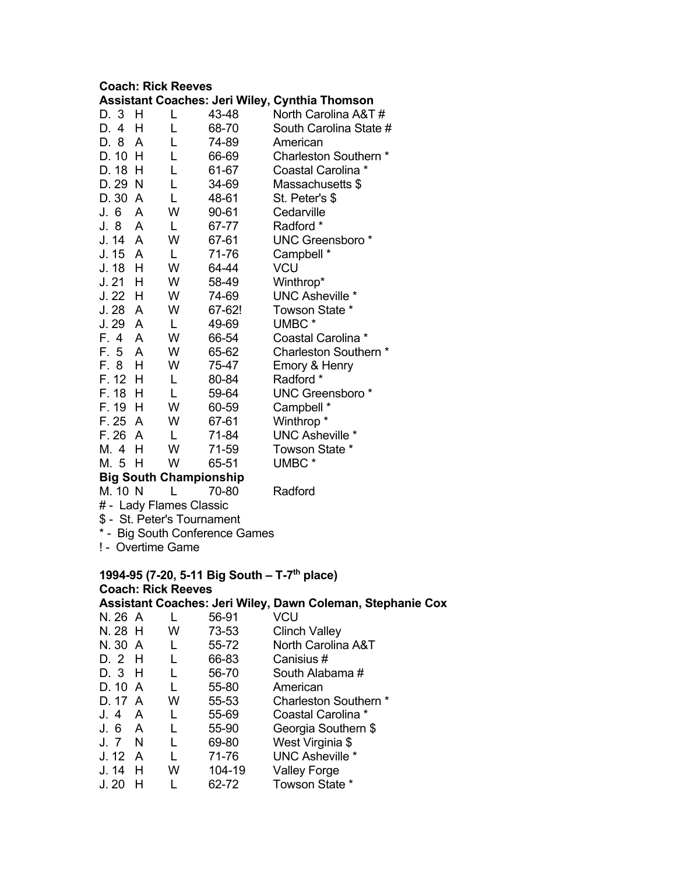#### **Coach: Rick Reeves**

|           |         |     |        | <b>Assistant Coaches: Jeri Wiley, Cynthia Thomson</b> |
|-----------|---------|-----|--------|-------------------------------------------------------|
| D. 3      | н       |     | 43-48  | North Carolina A&T #                                  |
| D. 4      | н       | L   | 68-70  | South Carolina State #                                |
| D. 8      | A       | L   | 74-89  | American                                              |
| D. 10     | н       | L   | 66-69  | Charleston Southern *                                 |
| D. 18     | H       | L   | 61-67  | Coastal Carolina *                                    |
| D. 29     | -N      | L   | 34-69  | Massachusetts \$                                      |
| D. 30     | A       | L   | 48-61  | St. Peter's \$                                        |
| J. 6      | A       | W   | 90-61  | Cedarville                                            |
| J. 8      | A       | L   | 67-77  | Radford *                                             |
| J. 14     | A       | W   | 67-61  | <b>UNC Greensboro*</b>                                |
| J. 15     | A       | L   | 71-76  | Campbell *                                            |
| J. 18     | н       | W   | 64-44  | <b>VCU</b>                                            |
| J. 21     | н       | W   | 58-49  | Winthrop*                                             |
| J. 22     | H       | W   | 74-69  | <b>UNC Asheville *</b>                                |
| J.28      | A       | W   | 67-62! | Towson State *                                        |
| J. 29     | A       | L   | 49-69  | UMBC <sup>*</sup>                                     |
| F. 4      | A       | W   | 66-54  | Coastal Carolina *                                    |
| F. 5      | A       | W   | 65-62  | Charleston Southern *                                 |
| F. 8      | н       | W   | 75-47  | Emory & Henry                                         |
| F. 12     | н       | L   | 80-84  | Radford *                                             |
| F. 18     | н       | L   | 59-64  | <b>UNC Greensboro*</b>                                |
| F. 19     | н       | W   | 60-59  | Campbell *                                            |
| F. 25     | A       | W   | 67-61  | Winthrop <sup>*</sup>                                 |
| F. 26     | A       | L   | 71-84  | <b>UNC Asheville *</b>                                |
| M. 4      | н       | W   | 71-59  | Towson State *                                        |
| M. 5      | н       | W   | 65-51  | UMBC*                                                 |
| n:<br>. e | والقرار | ЛL. | .      |                                                       |

#### **Big South Championship**

M. 10 N L 70-80 Radford

- # Lady Flames Classic
- \$ St. Peter's Tournament
- \* Big South Conference Games
- ! Overtime Game

# **1994-95 (7-20, 5-11 Big South – T-7th place) Coach: Rick Reeves**

#### **Assistant Coaches: Jeri Wiley, Dawn Coleman, Stephanie Cox**  N. 26 A L 56-91 N. 28 H W 73-53 Clinch Valley N. 30 A L 55-72 North Carolina A&T D. 2 H L 66-83 Canisius # D. 3 H L 56-70 South Alabama #<br>D. 10 A L 55-80 American L 55-80 American<br>W 55-53 Charlestor D. 17 A W 55-53 Charleston Southern \* J. 4 A L 55-69 Coastal Carolina \* J. 6 A L 55-90 Georgia Southern \$

- J. 7 N L 69-80 West Virginia \$ J. 12 A L 71-76 UNC Asheville \*
- J. 14 H W 104-19 Valley Forge
- J. 20 H L 62-72 Towson State \*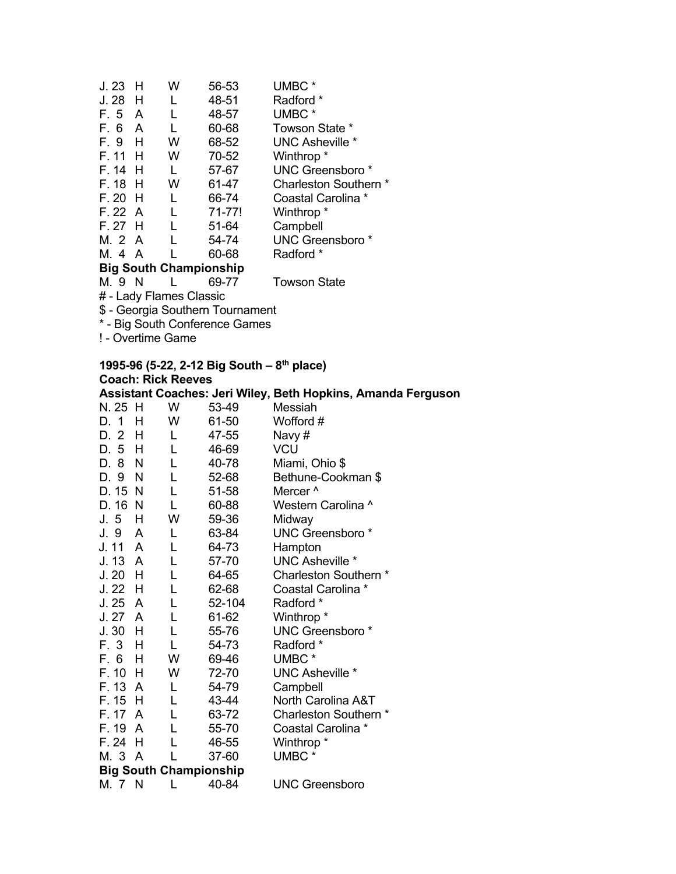| J. 23     | н                             | w | 56-53  | UMBC <sup>*</sup>           |  |  |  |  |
|-----------|-------------------------------|---|--------|-----------------------------|--|--|--|--|
| J. 28     | н                             |   | 48-51  | Radford *                   |  |  |  |  |
| F. 5      | A                             |   | 48-57  | UMBC <sup>*</sup>           |  |  |  |  |
| F. 6      | A                             | L | 60-68  | Towson State *              |  |  |  |  |
| F.9 H     |                               | w | 68-52  | UNC Asheville *             |  |  |  |  |
| F. 11     | - H                           | w | 70-52  | Winthrop *                  |  |  |  |  |
| F. 14 H   |                               | L | 57-67  | UNC Greensboro <sup>*</sup> |  |  |  |  |
| F. 18 H   |                               | w | 61-47  | Charleston Southern *       |  |  |  |  |
| $F. 20$ H |                               | L | 66-74  | Coastal Carolina *          |  |  |  |  |
| F. 22 A   |                               | L | 71-77! | Winthrop *                  |  |  |  |  |
| F. 27 H   |                               | L | 51-64  | Campbell                    |  |  |  |  |
| M. 2 A    |                               | L | 54-74  | UNC Greensboro <sup>*</sup> |  |  |  |  |
| M. 4 A    |                               |   | 60-68  | Radford *                   |  |  |  |  |
|           | <b>Big South Championship</b> |   |        |                             |  |  |  |  |
| M. 9      | N                             |   | 69-77  | Towson State                |  |  |  |  |
|           |                               |   |        |                             |  |  |  |  |

# - Lady Flames Classic

\$ - Georgia Southern Tournament

\* - Big South Conference Games

! - Overtime Game

|             | 1995-96 (5-22, 2-12 Big South – $8^{th}$ place) |        |                                                              |  |  |  |  |
|-------------|-------------------------------------------------|--------|--------------------------------------------------------------|--|--|--|--|
|             | <b>Coach: Rick Reeves</b>                       |        |                                                              |  |  |  |  |
|             |                                                 |        | Assistant Coaches: Jeri Wiley, Beth Hopkins, Amanda Ferguson |  |  |  |  |
| N. 25 H     | W                                               | 53-49  | Messiah                                                      |  |  |  |  |
| D. 1        | W<br>н                                          | 61-50  | Wofford #                                                    |  |  |  |  |
| D. 2<br>H   | L.                                              | 47-55  | Navy#                                                        |  |  |  |  |
| D. 5 H      | L                                               | 46-69  | <b>VCU</b>                                                   |  |  |  |  |
| D. 8 N      | L                                               | 40-78  | Miami, Ohio \$                                               |  |  |  |  |
| D. 9 N      | L                                               | 52-68  | Bethune-Cookman \$                                           |  |  |  |  |
| D. 15 N     | L                                               | 51-58  | Mercer <sup>^</sup>                                          |  |  |  |  |
| D. 16 N     | L                                               | 60-88  | Western Carolina ^                                           |  |  |  |  |
| J.5H        | W                                               | 59-36  | Midway                                                       |  |  |  |  |
| J. 9        | A<br>L                                          | 63-84  | <b>UNC Greensboro</b> *                                      |  |  |  |  |
| J. 11 A     | L                                               | 64-73  | Hampton                                                      |  |  |  |  |
| J. 13 A     | L                                               | 57-70  | <b>UNC Asheville *</b>                                       |  |  |  |  |
| J.20<br>H   | L                                               | 64-65  | Charleston Southern *                                        |  |  |  |  |
| J.22<br>- H | L                                               | 62-68  | Coastal Carolina *                                           |  |  |  |  |
| J.25A       | L                                               | 52-104 | Radford *                                                    |  |  |  |  |
| J. 27 A     | L                                               | 61-62  | Winthrop <sup>*</sup>                                        |  |  |  |  |
| $J.30$ H    | L                                               | 55-76  | <b>UNC Greensboro*</b>                                       |  |  |  |  |
| F. 3 H      | L                                               | 54-73  | Radford *                                                    |  |  |  |  |
| F. 6<br>- H | W                                               | 69-46  | UMBC <sup>*</sup>                                            |  |  |  |  |
| F. 10<br>H  | W                                               | 72-70  | <b>UNC Asheville *</b>                                       |  |  |  |  |
| F. 13 A     | L                                               | 54-79  | Campbell                                                     |  |  |  |  |
| $F. 15$ H   | L                                               | 43-44  | North Carolina A&T                                           |  |  |  |  |
| F. 17 A     | L                                               | 63-72  | Charleston Southern *                                        |  |  |  |  |
| F. 19       | A<br>L                                          | 55-70  | Coastal Carolina *                                           |  |  |  |  |
| F. 24<br>H  | L                                               | 46-55  | Winthrop <sup>*</sup>                                        |  |  |  |  |
| M. 3 A      |                                                 | 37-60  | UMBC*                                                        |  |  |  |  |
|             | <b>Big South Championship</b>                   |        |                                                              |  |  |  |  |
| M. 7 N      | L                                               | 40-84  | <b>UNC Greensboro</b>                                        |  |  |  |  |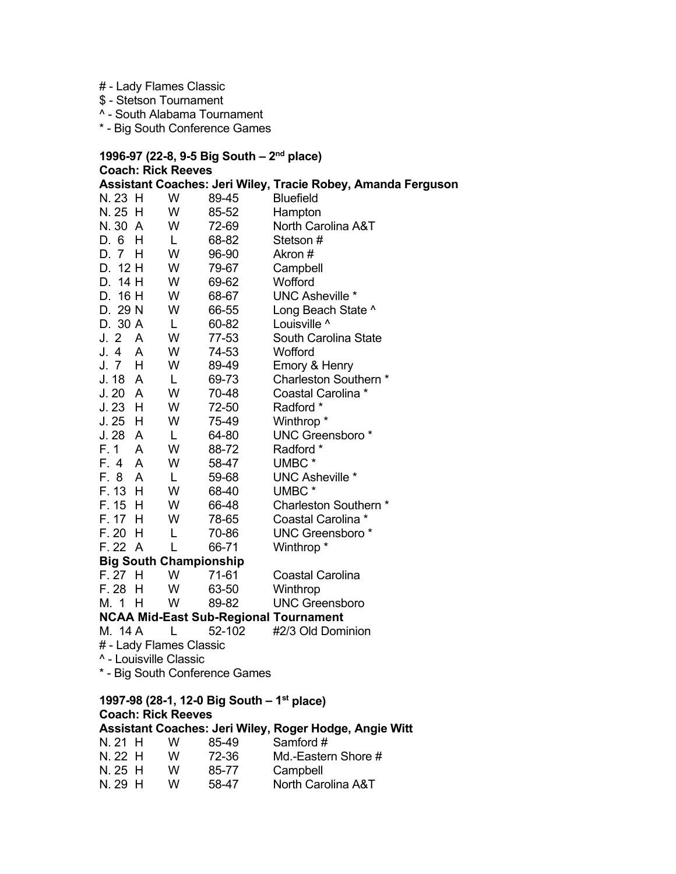- # Lady Flames Classic
- \$ Stetson Tournament
- ^ South Alabama Tournament
- \* Big South Conference Games

**1996-97 (22-8, 9-5 Big South – 2nd place) Coach: Rick Reeves Assistant Coaches: Jeri Wiley, Tracie Robey, Amanda Ferguson**  N. 23 H W 89-45 Bluefield N. 25 H W 85-52 Hampton N. 30 A W 72-69 North Carolina A&T D. 6 H L 68-82 Stetson # D. 7 H W 96-90 Akron # D. 12 H W 79-67 Campbell D. 14 H W 69-62 Wofford D. 16 H W 68-67 UNC Asheville \* D. 29 N W 66-55 Long Beach State ^ D. 30 A L 60-82 Louisville ^ J. 2 A W 77-53 South Carolina State J. 4 A W 74-53 Wofford J. 7 H W 89-49 Emory & Henry J. 18 A L 69-73 Charleston Southern \* J. 20 A W 70-48 Coastal Carolina \* J. 23 H W 72-50 Radford \* J. 25 H W 75-49 Winthrop \* J. 28 A L 64-80 UNC Greensboro \* F. 1 A W 88-72 Radford \* F. 4 A W 58-47 UMBC \*<br>F. 8 A L 59-68 UNC As L 59-68 UNC Asheville \*<br>W 68-40 UMBC \* F. 13 H W 68-40 UMBC \* F. 15 H W 66-48 Charleston Southern \* F. 17 H W 78-65 Coastal Carolina \* F. 20 H L 70-86 UNC Greensboro \* F. 22 A L 66-71 Winthrop \* **Big South Championship**  F. 27 H W 71-61 Coastal Carolina F. 28 H W 63-50 Winthrop M. 1 H W 89-82 UNC Greensboro **NCAA Mid-East Sub-Regional Tournament**  M. 14 A L 52-102 #2/3 Old Dominion

# # - Lady Flames Classic

^ - Louisville Classic

\* - Big South Conference Games

#### **1997-98 (28-1, 12-0 Big South – 1st place) Coach: Rick Reeves Assistant Coaches: Jeri Wiley, Roger Hodge, Angie Witt**

| $N.21$ H | w | 85-49 | Samford #           |
|----------|---|-------|---------------------|
| $N.22$ H | w | 72-36 | Md.-Eastern Shore # |
| N. 25 H  | w | 85-77 | Campbell            |
| N. 29 H  | w | 58-47 | North Carolina A&T  |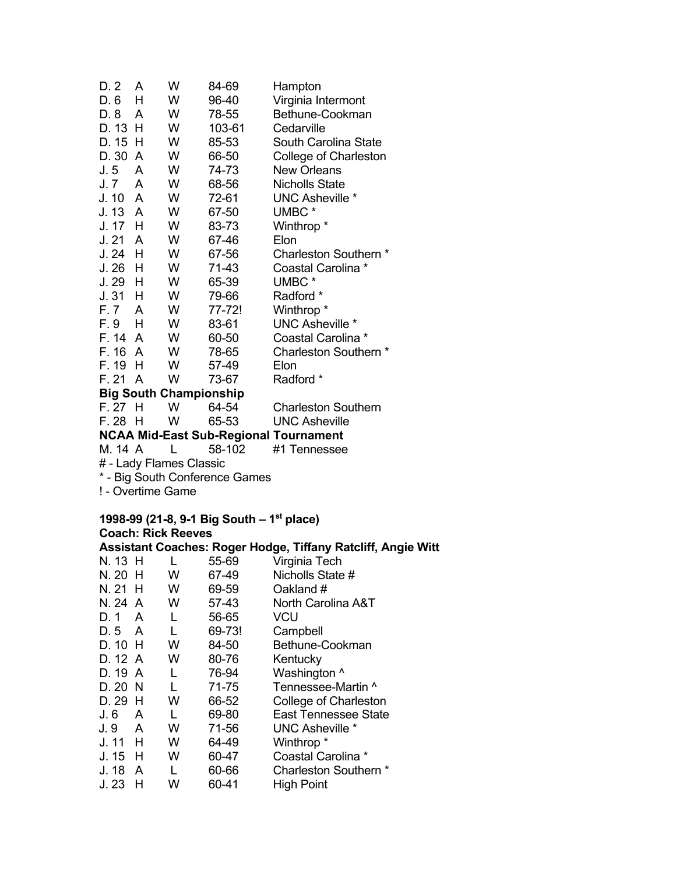| D. 2                              | A   | W | 84-69  | Hampton                                      |  |  |
|-----------------------------------|-----|---|--------|----------------------------------------------|--|--|
| D. 6                              | н   | W | 96-40  | Virginia Intermont                           |  |  |
| D. 8                              | A   | W | 78-55  | Bethune-Cookman                              |  |  |
| D. 13 H                           |     | W | 103-61 | Cedarville                                   |  |  |
| D. 15 H                           |     | W | 85-53  | South Carolina State                         |  |  |
| D. 30 A                           |     | W | 66-50  | College of Charleston                        |  |  |
| J.5                               | A   | W | 74-73  | <b>New Orleans</b>                           |  |  |
| J. 7                              | A   | W | 68-56  | <b>Nicholls State</b>                        |  |  |
| J. 10 A                           |     | W | 72-61  | UNC Asheville *                              |  |  |
| J. 13 A                           |     | W | 67-50  | UMBC*                                        |  |  |
| J. 17                             | - H | W | 83-73  | Winthrop *                                   |  |  |
| J.21A                             |     | W | 67-46  | Elon                                         |  |  |
| $J.24$ H                          |     | W | 67-56  | Charleston Southern *                        |  |  |
| $J.26$ H                          |     | W | 71-43  | Coastal Carolina *                           |  |  |
| $J.29$ H                          |     | W | 65-39  | UMBC <sup>*</sup>                            |  |  |
| $J.31$ H                          |     | W | 79-66  | Radford *                                    |  |  |
| F.7 A                             |     | W | 77-72! | Winthrop <sup>*</sup>                        |  |  |
| F.9 H                             |     | W | 83-61  | <b>UNC Asheville *</b>                       |  |  |
| F. 14 A                           |     | W | 60-50  | Coastal Carolina *                           |  |  |
| F. 16 A                           |     | W | 78-65  | Charleston Southern *                        |  |  |
| F. 19                             | н   | W | 57-49  | Elon                                         |  |  |
| F. 21 A                           |     | W | 73-67  | Radford *                                    |  |  |
| <b>Big South Championship</b>     |     |   |        |                                              |  |  |
| F.27H                             |     | W | 64-54  | <b>Charleston Southern</b>                   |  |  |
| F. 28 H                           |     | W | 65-53  | <b>UNC Asheville</b>                         |  |  |
|                                   |     |   |        | <b>NCAA Mid-East Sub-Regional Tournament</b> |  |  |
| M. 14 A<br>#1 Tennessee<br>58-102 |     |   |        |                                              |  |  |
| # - Lady Flames Classic           |     |   |        |                                              |  |  |
| * - Big South Conference Games    |     |   |        |                                              |  |  |
| ! - Overtime Game                 |     |   |        |                                              |  |  |

#### **1998-99 (21-8, 9-1 Big South – 1st place) Coach: Rick Reeves Assistant Coaches: Roger Hodge, Tiffany Ratcliff, Angie Witt**

| N. 13 H |   |   | 55-69  | Virginia Tech               |
|---------|---|---|--------|-----------------------------|
| N. 20 H |   | w | 67-49  | Nicholls State #            |
| N. 21 H |   | w | 69-59  | Oakland #                   |
| N. 24 A |   | w | 57-43  | North Carolina A&T          |
| D. 1    | A |   | 56-65  | VCU                         |
| D. 5    | A |   | 69-73! | Campbell                    |
| D. 10 H |   | W | 84-50  | Bethune-Cookman             |
| D. 12 A |   | w | 80-76  | Kentucky                    |
| D. 19 A |   |   | 76-94  | Washington ^                |
| D. 20 N |   | L | 71-75  | Tennessee-Martin ^          |
| D. 29   | H | w | 66-52  | College of Charleston       |
| J. 6    | A |   | 69-80  | <b>East Tennessee State</b> |
| J. 9    | A | W | 71-56  | UNC Asheville *             |
| J. 11 H |   | w | 64-49  | Winthrop <sup>*</sup>       |
| J. 15   | н | w | 60-47  | Coastal Carolina *          |
| J.18    | A |   | 60-66  | Charleston Southern *       |
| J. 23   | н | W | 60-41  | <b>High Point</b>           |
|         |   |   |        |                             |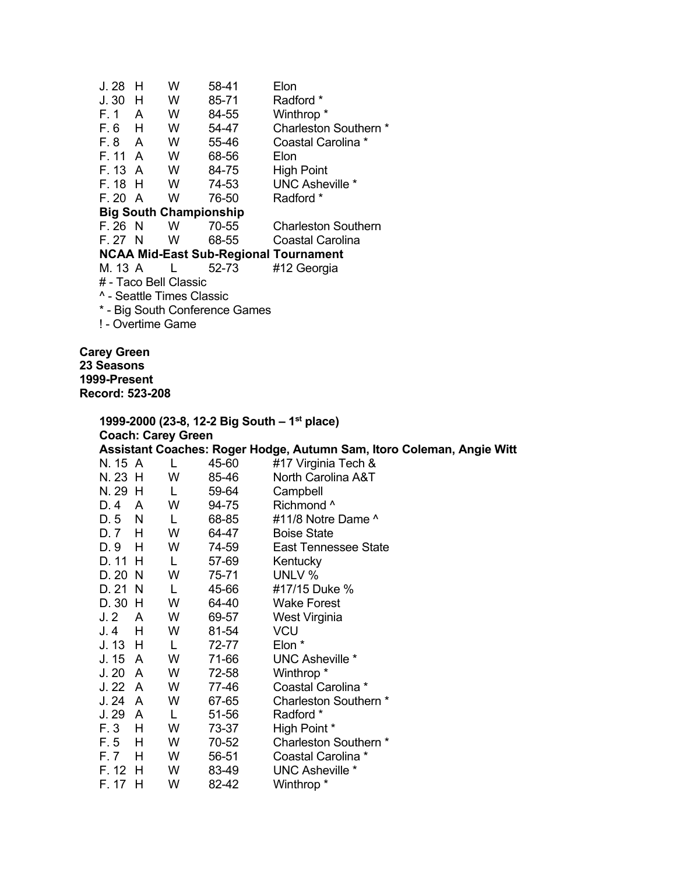| J. 28                                | н                     | w                             | 58-41 | Elon                                         |  |  |  |  |
|--------------------------------------|-----------------------|-------------------------------|-------|----------------------------------------------|--|--|--|--|
| J.30 H                               |                       | w                             | 85-71 | Radford *                                    |  |  |  |  |
| F.1 A                                |                       | w                             | 84-55 | Winthrop <sup>*</sup>                        |  |  |  |  |
| $F.6$ H                              |                       | W                             | 54-47 | Charleston Southern *                        |  |  |  |  |
| F.8 A                                |                       | W                             | 55-46 | Coastal Carolina *                           |  |  |  |  |
| F. 11 A                              |                       | W                             | 68-56 | Elon                                         |  |  |  |  |
| F. 13 A                              |                       | W                             | 84-75 | High Point                                   |  |  |  |  |
| F. 18 H                              |                       | W                             | 74-53 | UNC Asheville *                              |  |  |  |  |
| F. 20 A                              |                       | W                             | 76-50 | Radford *                                    |  |  |  |  |
|                                      |                       | <b>Big South Championship</b> |       |                                              |  |  |  |  |
| F. 26 N                              |                       | W                             | 70-55 | Charleston Southern                          |  |  |  |  |
| F. 27 N                              |                       | W                             | 68-55 | Coastal Carolina                             |  |  |  |  |
|                                      |                       |                               |       | <b>NCAA Mid-East Sub-Regional Tournament</b> |  |  |  |  |
| M. 13 A                              |                       |                               | 52-73 | #12 Georgia                                  |  |  |  |  |
|                                      | # - Taco Bell Classic |                               |       |                                              |  |  |  |  |
| <sup>^</sup> - Seattle Times Classic |                       |                               |       |                                              |  |  |  |  |
| * - Big South Conference Games       |                       |                               |       |                                              |  |  |  |  |
|                                      | ! - Overtime Game     |                               |       |                                              |  |  |  |  |
|                                      |                       |                               |       |                                              |  |  |  |  |

**Carey Green 23 Seasons 1999-Present Record: 523-208** 

|         | 1999-2000 (23-8, 12-2 Big South – 1 <sup>st</sup> place) |                           |       |                                                                       |  |  |
|---------|----------------------------------------------------------|---------------------------|-------|-----------------------------------------------------------------------|--|--|
|         |                                                          | <b>Coach: Carey Green</b> |       |                                                                       |  |  |
|         |                                                          |                           |       | Assistant Coaches: Roger Hodge, Autumn Sam, Itoro Coleman, Angie Witt |  |  |
| N. 15 A |                                                          | L                         | 45-60 | #17 Virginia Tech &                                                   |  |  |
| N. 23 H |                                                          | W                         | 85-46 | North Carolina A&T                                                    |  |  |
| N. 29 H |                                                          | L                         | 59-64 | Campbell                                                              |  |  |
| D. 4    | A                                                        | W                         | 94-75 | Richmond ^                                                            |  |  |
| D. 5    | N                                                        | L                         | 68-85 | #11/8 Notre Dame ^                                                    |  |  |
| D. 7    | H                                                        | W                         | 64-47 | <b>Boise State</b>                                                    |  |  |
| D. 9    | H                                                        | W                         | 74-59 | <b>East Tennessee State</b>                                           |  |  |
| D. 11   | H                                                        | L                         | 57-69 | Kentucky                                                              |  |  |
| D. 20   | N                                                        | W                         | 75-71 | UNLV %                                                                |  |  |
| D. 21   | -N                                                       | L                         | 45-66 | #17/15 Duke %                                                         |  |  |
| D. 30   | H                                                        | W                         | 64-40 | <b>Wake Forest</b>                                                    |  |  |
| J.2     | A                                                        | W                         | 69-57 | West Virginia                                                         |  |  |
| J. 4    | H                                                        | W                         | 81-54 | <b>VCU</b>                                                            |  |  |
| J. 13   | H                                                        | L                         | 72-77 | Elon *                                                                |  |  |
| J. 15   | A                                                        | W                         | 71-66 | <b>UNC Asheville *</b>                                                |  |  |
| J.20    | A                                                        | W                         | 72-58 | Winthrop <sup>*</sup>                                                 |  |  |
| J.22    | A                                                        | W                         | 77-46 | Coastal Carolina *                                                    |  |  |
| J.24    | A                                                        | W                         | 67-65 | Charleston Southern *                                                 |  |  |
| J. 29   | A                                                        | L                         | 51-56 | Radford *                                                             |  |  |
| F. 3    | H                                                        | W                         | 73-37 | High Point *                                                          |  |  |
| F. 5    | H                                                        | W                         | 70-52 | Charleston Southern *                                                 |  |  |
| F. 7    | H                                                        | W                         | 56-51 | Coastal Carolina *                                                    |  |  |
| F. 12   | H                                                        | W                         | 83-49 | UNC Asheville *                                                       |  |  |
| F. 17   | н                                                        | w                         | 82-42 | Winthrop *                                                            |  |  |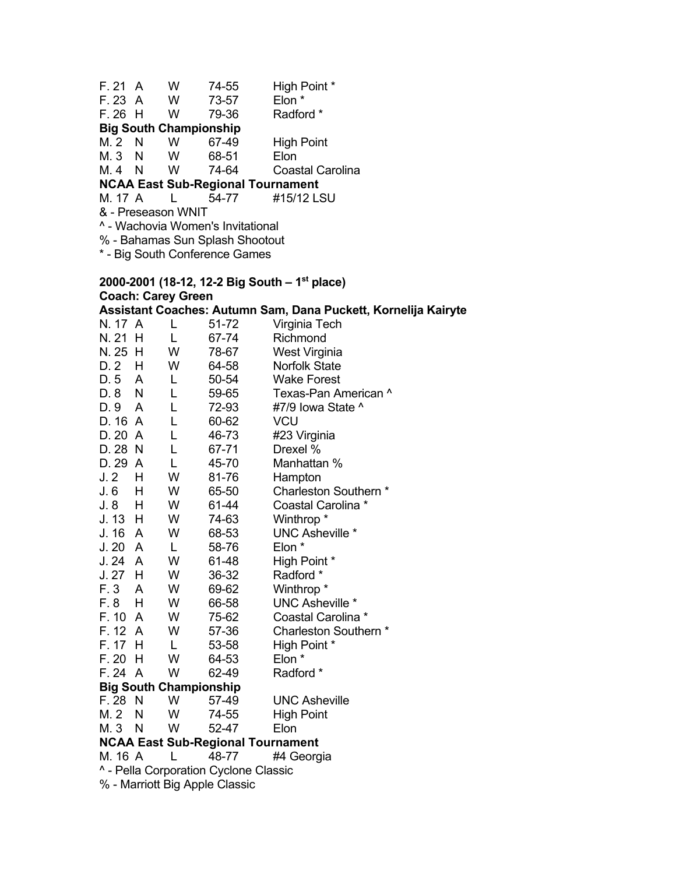| F.21 A                                   |   | w  | 74-55                                  | High Point *      |  |  |
|------------------------------------------|---|----|----------------------------------------|-------------------|--|--|
| F. 23 A                                  |   | w  | 73-57                                  | Elon *            |  |  |
| $F.26$ H                                 |   | w  | 79-36                                  | Radford *         |  |  |
| M.2 N                                    |   | w  | <b>Big South Championship</b><br>67-49 | <b>High Point</b> |  |  |
| $M.3$ N                                  | N | W. | 68-51                                  | Elon              |  |  |
| M. 4                                     |   | w  | 74-64                                  | Coastal Carolina  |  |  |
| <b>NCAA East Sub-Regional Tournament</b> |   |    |                                        |                   |  |  |

# M. 17 A L 54-77 #15/12 LSU

& - Preseason WNIT

^ - Wachovia Women's Invitational

% - Bahamas Sun Splash Shootout

\* - Big South Conference Games

#### **2000-2001 (18-12, 12-2 Big South – 1st place) Coach: Carey Green Assistant Coaches: Autumn Sam, Dana Puckett, Kornelija Kairyte**

| N. 17                          | A              | L                             | 51-72                                    | Virginia Tech          |  |  |
|--------------------------------|----------------|-------------------------------|------------------------------------------|------------------------|--|--|
| N. 21                          | н              | L                             | 67-74                                    | Richmond               |  |  |
| N. 25                          | H              | W                             | 78-67                                    | West Virginia          |  |  |
| D. 2                           | н              | W                             | 64-58                                    | <b>Norfolk State</b>   |  |  |
| D. 5                           | A              | L                             | 50-54                                    | <b>Wake Forest</b>     |  |  |
| D. 8                           | N              | L                             | 59-65                                    | Texas-Pan American ^   |  |  |
| D. 9                           | A              | L                             | 72-93                                    | #7/9 lowa State ^      |  |  |
| D. 16                          | $\overline{A}$ | L                             | 60-62                                    | <b>VCU</b>             |  |  |
| D. 20 A                        |                | Г                             | 46-73                                    | #23 Virginia           |  |  |
| D. 28 N                        |                | Г                             | 67-71                                    | Drexel %               |  |  |
| D. 29                          | A              | Г                             | 45-70                                    | Manhattan %            |  |  |
| J. 2                           | н              | W                             | 81-76                                    | Hampton                |  |  |
| J. 6                           | Н              | W                             | 65-50                                    | Charleston Southern *  |  |  |
| J. 8                           | H              | W                             | 61-44                                    | Coastal Carolina *     |  |  |
| $J. 13$ H                      |                | W                             | 74-63                                    | Winthrop <sup>*</sup>  |  |  |
| J. 16                          | A              | W                             | 68-53                                    | <b>UNC Asheville *</b> |  |  |
| J. 20                          | A              | L                             | 58-76                                    | Elon *                 |  |  |
| J. 24                          | A              | W                             | 61-48                                    | High Point *           |  |  |
| J.27                           | H              | W                             | 36-32                                    | Radford *              |  |  |
| F.3                            | A              | W                             | 69-62                                    | Winthrop <sup>*</sup>  |  |  |
| F. 8                           | н              | W                             | 66-58                                    | <b>UNC Asheville *</b> |  |  |
| F. 10                          | A              | W                             | 75-62                                    | Coastal Carolina *     |  |  |
| F. 12 A                        |                | W                             | 57-36                                    | Charleston Southern *  |  |  |
| F. 17                          | Н              | L                             | 53-58                                    | High Point *           |  |  |
| F.20                           | Н              | W                             | 64-53                                    | Elon *                 |  |  |
| F. 24                          | $\overline{A}$ | W                             | 62-49                                    | Radford *              |  |  |
|                                |                | <b>Big South Championship</b> |                                          |                        |  |  |
| F. 28                          | N              | W                             | 57-49                                    | <b>UNC Asheville</b>   |  |  |
| M. 2                           | N              | W                             | 74-55                                    | <b>High Point</b>      |  |  |
| M. 3                           | N              | W                             | 52-47                                    | Elon                   |  |  |
|                                |                |                               | <b>NCAA East Sub-Regional Tournament</b> |                        |  |  |
| M. 16 A                        |                |                               | 48-77                                    | #4 Georgia             |  |  |
|                                |                |                               | ^ - Pella Corporation Cyclone Classic    |                        |  |  |
| % - Marriott Big Apple Classic |                |                               |                                          |                        |  |  |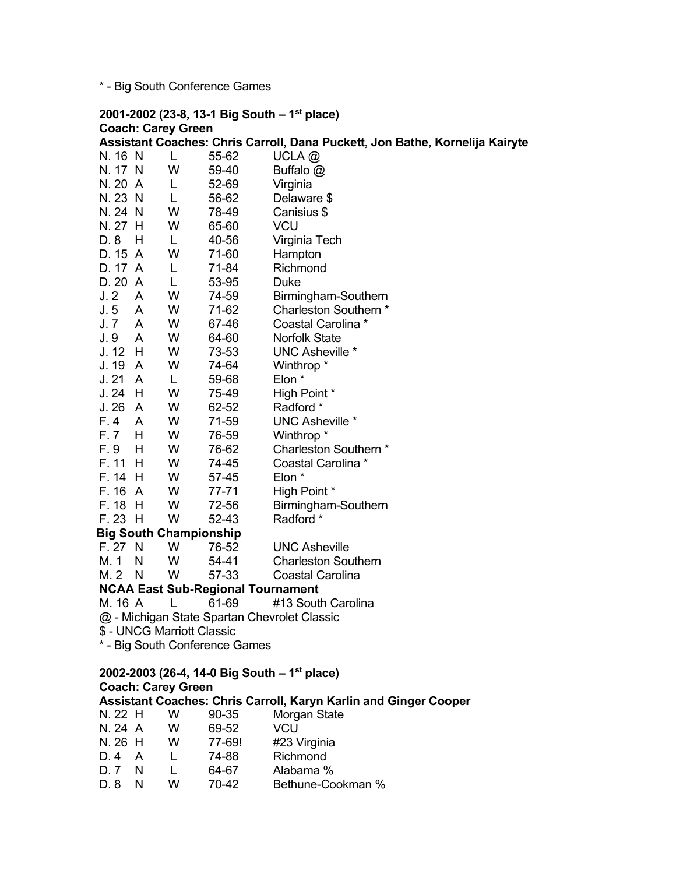\* - Big South Conference Games

# **2001-2002 (23-8, 13-1 Big South – 1st place) Coach: Carey Green**  Assistant Coaches: Chris Carroll, Dana Puckett, Jon Bathe, Kornelija Kairyte<br>N. 16 N L 55-62 UCLA @ N. 16 N L 55-62

| N. 17 N                                                                                       |                | W                             | 59-40                                    | Buffalo @                                    |  |  |  |
|-----------------------------------------------------------------------------------------------|----------------|-------------------------------|------------------------------------------|----------------------------------------------|--|--|--|
| N. 20 A                                                                                       |                | L                             | 52-69                                    | Virginia                                     |  |  |  |
| N. 23 N                                                                                       |                | L                             | 56-62                                    | Delaware \$                                  |  |  |  |
| N. 24 N                                                                                       |                | W                             | 78-49                                    | Canisius \$                                  |  |  |  |
| N. 27 H                                                                                       |                | W                             | 65-60                                    | <b>VCU</b>                                   |  |  |  |
| D. 8                                                                                          | H.             | L                             | 40-56                                    | Virginia Tech                                |  |  |  |
| D. 15 A                                                                                       |                | W                             | 71-60                                    | Hampton                                      |  |  |  |
| D. 17 A                                                                                       |                | L                             | 71-84                                    | Richmond                                     |  |  |  |
| D. 20 A                                                                                       |                | L                             | 53-95                                    | Duke                                         |  |  |  |
| J. 2                                                                                          | A              | W                             | 74-59                                    | Birmingham-Southern                          |  |  |  |
| J.5                                                                                           | A              | W                             | 71-62                                    | Charleston Southern *                        |  |  |  |
| J. 7                                                                                          | A              | W                             | 67-46                                    | Coastal Carolina *                           |  |  |  |
| J. 9                                                                                          | A              | W                             | 64-60                                    | <b>Norfolk State</b>                         |  |  |  |
| $J. 12$ H                                                                                     |                | W                             | 73-53                                    | <b>UNC Asheville *</b>                       |  |  |  |
| J. 19                                                                                         | A              | W                             | 74-64                                    | Winthrop <sup>*</sup>                        |  |  |  |
| J.21                                                                                          | A              | L                             | 59-68                                    | Elon *                                       |  |  |  |
| J.24                                                                                          | H              | W                             | 75-49                                    | High Point *                                 |  |  |  |
| J. 26                                                                                         | $\overline{A}$ | W                             | 62-52                                    | Radford *                                    |  |  |  |
| F. 4                                                                                          | A              | W                             | 71-59                                    | <b>UNC Asheville *</b>                       |  |  |  |
| F. 7                                                                                          | H              | W                             | 76-59                                    | Winthrop <sup>*</sup>                        |  |  |  |
| F. 9                                                                                          | H              | W                             | 76-62                                    | Charleston Southern *                        |  |  |  |
| F. 11                                                                                         | H              | W                             | 74-45                                    | Coastal Carolina *                           |  |  |  |
| F. 14 H                                                                                       |                | W                             | 57-45                                    | Elon *                                       |  |  |  |
| F. 16                                                                                         | A              | W                             | 77-71                                    | High Point *                                 |  |  |  |
| F. 18                                                                                         | H              | W                             | 72-56                                    | Birmingham-Southern                          |  |  |  |
| F. 23 H                                                                                       |                | W                             | 52-43                                    | Radford *                                    |  |  |  |
|                                                                                               |                | <b>Big South Championship</b> |                                          |                                              |  |  |  |
| F. 27                                                                                         | $\mathsf{N}$   | W                             | 76-52                                    | <b>UNC Asheville</b>                         |  |  |  |
| M. 1                                                                                          | N              | W                             | 54-41                                    | <b>Charleston Southern</b>                   |  |  |  |
| M. 2 N                                                                                        |                | W                             | 57-33                                    | Coastal Carolina                             |  |  |  |
|                                                                                               |                |                               | <b>NCAA East Sub-Regional Tournament</b> |                                              |  |  |  |
| M. 16 A                                                                                       |                | L                             | 61-69                                    | #13 South Carolina                           |  |  |  |
|                                                                                               |                |                               |                                          | @ - Michigan State Spartan Chevrolet Classic |  |  |  |
| \$ - UNCG Marriott Classic                                                                    |                |                               |                                          |                                              |  |  |  |
|                                                                                               |                |                               | * - Big South Conference Games           |                                              |  |  |  |
|                                                                                               |                |                               |                                          |                                              |  |  |  |
| 2002-2003 (26-4, 14-0 Big South - 1 <sup>st</sup> place)                                      |                |                               |                                          |                                              |  |  |  |
| <b>Coach: Carey Green</b><br>Assistant Coaches: Chris Carroll, Karyn Karlin and Ginger Cooper |                |                               |                                          |                                              |  |  |  |
| N. 22 H                                                                                       |                | W                             | 90-35                                    |                                              |  |  |  |
| N 24 A                                                                                        |                | $M_{\odot}$                   | AQ 52                                    | Morgan State<br>VCI                          |  |  |  |

| N. ZZ . H |   | νv | ⊌∪-໒ວ  | Morgan State      |
|-----------|---|----|--------|-------------------|
| N. 24 A   |   | w  | 69-52  | VCU               |
| N. 26 H   |   | w  | 77-69! | #23 Virginia      |
| D. 4      | А |    | 74-88  | Richmond          |
| D. 7      | N |    | 64-67  | Alabama %         |
| D. 8      | N | w  | 70-42  | Bethune-Cookman % |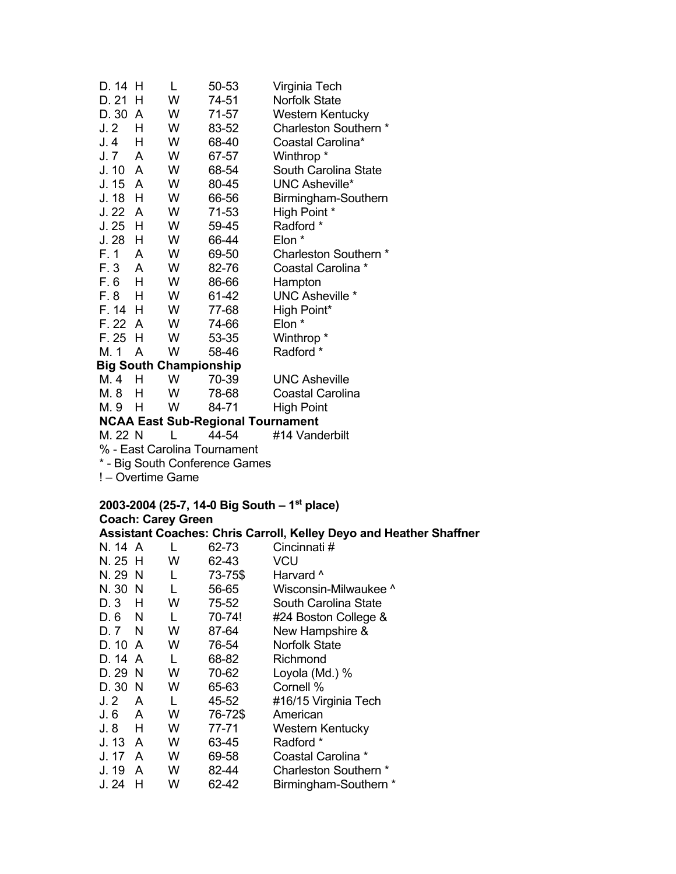| D. 14    | н   | L | 50-53                                    | Virginia Tech           |
|----------|-----|---|------------------------------------------|-------------------------|
| D. 21    | н   | W | 74-51                                    | <b>Norfolk State</b>    |
| D. 30    | A   | W | 71-57                                    | <b>Western Kentucky</b> |
| J.2      | н   | W | 83-52                                    | Charleston Southern *   |
| J.4      | н   | W | 68-40                                    | Coastal Carolina*       |
| J. 7     | A   | W | 67-57                                    | Winthrop *              |
| J. 10    | A   | W | 68-54                                    | South Carolina State    |
| J. 15 A  |     | W | 80-45                                    | <b>UNC Asheville*</b>   |
| J. 18    | H   | W | 66-56                                    | Birmingham-Southern     |
| J. 22    | A   | W | 71-53                                    | High Point *            |
| J.25     | н   | W | 59-45                                    | Radford *               |
| J.28     | Н   | W | 66-44                                    | Elon *                  |
| F. 1     | A   | W | 69-50                                    | Charleston Southern *   |
| F. 3     | A   | W | 82-76                                    | Coastal Carolina *      |
| F. 6     | H   | W | 86-66                                    | Hampton                 |
| F. 8     | н   | W | 61-42                                    | <b>UNC Asheville *</b>  |
| F. 14    | - H | W | 77-68                                    | High Point*             |
| F. 22 A  |     | W | 74-66                                    | Elon *                  |
| $F.25$ H |     | W | 53-35                                    | Winthrop *              |
| M. 1     | A   | W | 58-46                                    | Radford *               |
|          |     |   | <b>Big South Championship</b>            |                         |
| M. 4     | н   | W | 70-39                                    | <b>UNC Asheville</b>    |
| M. 8     | н   | W | 78-68                                    | <b>Coastal Carolina</b> |
| M. 9     | н   | w | 84-71                                    | <b>High Point</b>       |
|          |     |   | <b>NCAA East Sub-Regional Tournament</b> |                         |
| M. 22 N  |     |   | 44-54                                    | #14 Vanderbilt          |
|          |     |   | 0/ East Carolina Tournament              |                         |

% - East Carolina Tournament

\* - Big South Conference Games

! – Overtime Game

#### **2003-2004 (25-7, 14-0 Big South – 1st place)**

**Coach: Carey Green Assistant Coaches: Chris Carroll, Kelley Deyo and Heather Shaffner**  L 62-73 Cincinnati #<br>W 62-43 VCU  $N. 25 H W 62-43$ N. 29 N L 73-75\$ Harvard ^<br>N. 30 N L 56-65 Wisconsin L. 56-65 Wisconsin-Milwaukee ^ D. 3 H W 75-52 South Carolina State D. 6 N L 70-74! #24 Boston College & D. 7 N W 87-64 New Hampshire & D. 10 A W 76-54 Norfolk State D. 14 A L 68-82 Richmond D. 29 N W 70-62 Loyola (Md.) % 65-63 Cornell % J. 2 A L 45-52 #16/15 Virginia Tech J. 6 A W 76-72\$ American J. 8 H W 77-71 Western Kentucky J. 13 A W 63-45 Radford \* J. 17 A W 69-58 Coastal Carolina \* J. 19 A W 82-44 Charleston Southern \* J. 24 H W 62-42 Birmingham-Southern \*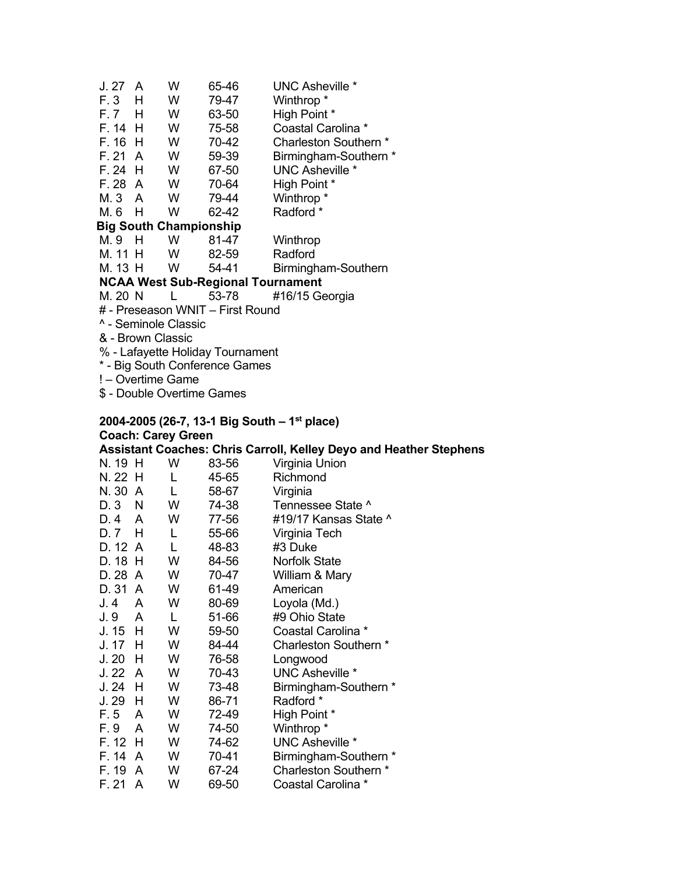| J. 27                            | A | W                             | 65-46                                    | <b>UNC Asheville *</b> |  |  |  |
|----------------------------------|---|-------------------------------|------------------------------------------|------------------------|--|--|--|
| $F.3$ H                          |   | W                             | 79-47                                    | Winthrop <sup>*</sup>  |  |  |  |
| F.7 H                            |   | W                             | 63-50                                    | High Point *           |  |  |  |
| F. 14 H                          |   | W                             | 75-58                                    | Coastal Carolina *     |  |  |  |
| $F. 16$ H                        |   | W                             | 70-42                                    | Charleston Southern *  |  |  |  |
| F. 21 A                          |   | W                             | 59-39                                    | Birmingham-Southern *  |  |  |  |
| $F. 24$ H                        |   | W                             | 67-50                                    | <b>UNC Asheville *</b> |  |  |  |
| F. 28 A                          |   | <b>W</b>                      | 70-64                                    | High Point *           |  |  |  |
| M.3 A                            |   | W                             | 79-44                                    | Winthrop <sup>*</sup>  |  |  |  |
| M.6 H                            |   | W                             | 62-42                                    | Radford *              |  |  |  |
|                                  |   | <b>Big South Championship</b> |                                          |                        |  |  |  |
| M.9 H                            |   | W                             | 81-47                                    | Winthrop               |  |  |  |
| M. 11 H                          |   | <b>W</b>                      | 82-59                                    | Radford                |  |  |  |
| M. 13 H                          |   | W                             | 54-41                                    | Birmingham-Southern    |  |  |  |
|                                  |   |                               | <b>NCAA West Sub-Regional Tournament</b> |                        |  |  |  |
| M. 20 N                          |   |                               | 53-78                                    | #16/15 Georgia         |  |  |  |
|                                  |   |                               | # - Preseason WNIT - First Round         |                        |  |  |  |
| ^ - Seminole Classic             |   |                               |                                          |                        |  |  |  |
| & - Brown Classic                |   |                               |                                          |                        |  |  |  |
| % - Lafayette Holiday Tournament |   |                               |                                          |                        |  |  |  |
| * - Big South Conference Games   |   |                               |                                          |                        |  |  |  |
| ! - Overtime Game                |   |                               |                                          |                        |  |  |  |
|                                  |   |                               | \$ - Double Overtime Games               |                        |  |  |  |
|                                  |   |                               |                                          |                        |  |  |  |

# **2004-2005 (26-7, 13-1 Big South – 1st place) Coach: Carey Green**

|         |    |   |       | Assistant Coaches: Chris Carroll, Kelley Deyo and Heather Stephens |
|---------|----|---|-------|--------------------------------------------------------------------|
| N. 19 H |    | W | 83-56 | Virginia Union                                                     |
| N. 22 H |    | L | 45-65 | Richmond                                                           |
| N. 30   | A  | L | 58-67 | Virginia                                                           |
| D. 3    | N. | W | 74-38 | Tennessee State ^                                                  |
| D. 4    | A  | W | 77-56 | #19/17 Kansas State ^                                              |
| D. 7    | H. | L | 55-66 | Virginia Tech                                                      |
| D. 12 A |    | L | 48-83 | #3 Duke                                                            |
| D. 18   | H  | W | 84-56 | <b>Norfolk State</b>                                               |
| D. 28   | A  | W | 70-47 | William & Mary                                                     |
| D. 31   | A  | W | 61-49 | American                                                           |
| J. 4    | A  | W | 80-69 | Loyola (Md.)                                                       |
| J. 9    | A  | L | 51-66 | #9 Ohio State                                                      |
| J. 15   | H. | W | 59-50 | Coastal Carolina *                                                 |
| J. 17   | H  | W | 84-44 | Charleston Southern *                                              |
| J. 20   | н  | W | 76-58 | Longwood                                                           |
| J. 22   | A  | W | 70-43 | UNC Asheville *                                                    |
| J. 24   | H  | W | 73-48 | Birmingham-Southern *                                              |
| J. 29   | H  | W | 86-71 | Radford *                                                          |
| F. 5    | A  | W | 72-49 | High Point *                                                       |
| F. 9    | A  | W | 74-50 | Winthrop <sup>*</sup>                                              |
| F. 12   | H  | W | 74-62 | <b>UNC Asheville *</b>                                             |
| F. 14   | A  | W | 70-41 | Birmingham-Southern *                                              |
| F. 19   | A  | W | 67-24 | Charleston Southern *                                              |
| F. 21   | A  | W | 69-50 | Coastal Carolina *                                                 |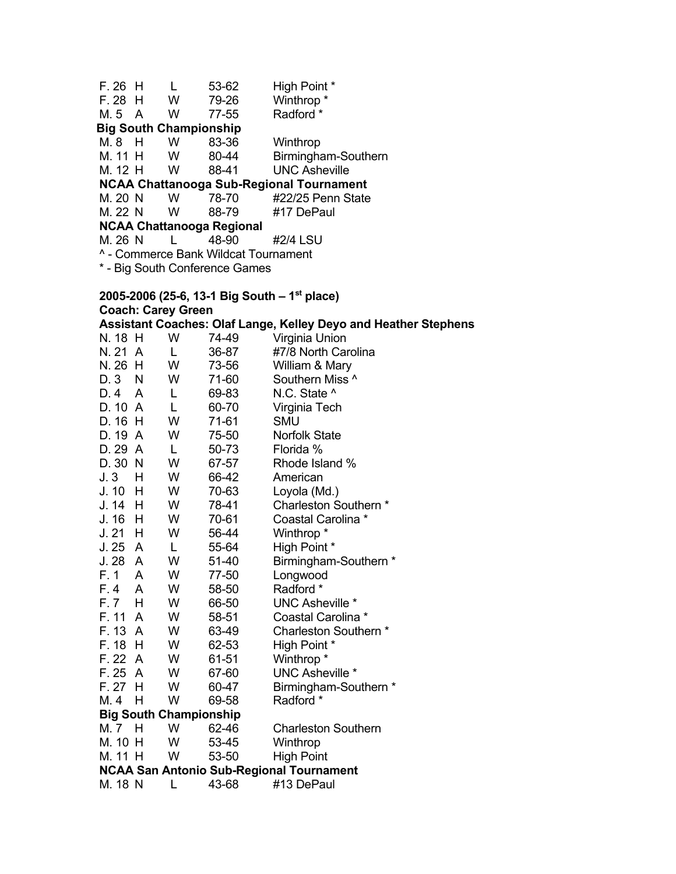F. 26 H L 53-62 High Point \* F. 28 H W 79-26 Winthrop \* M. 5 A W 77-55 Radford \*  **Big South Championship**  M. 8 H W 83-36 Winthrop M. 11 H W 80-44 Birmingham-Southern<br>M. 12 H W 88-41 UNC Asheville **UNC Asheville NCAA Chattanooga Sub-Regional Tournament**  M. 20 N W 78-70 #22/25 Penn State M. 22 N W 88-79 #17 DePaul **NCAA Chattanooga Regional** M. 26 N L 48-90 #2/4 LSU ^ - Commerce Bank Wildcat Tournament \* - Big South Conference Games

# **2005-2006 (25-6, 13-1 Big South – 1st place) Coach: Carey Green**

**Assistant Coaches: Olaf Lange, Kelley Deyo and Heather Stephens**  N. 18 H W 74-49 Virginia Union

| N. 21   | A              | L                             | 36-87 | #7/8 North Carolina                             |
|---------|----------------|-------------------------------|-------|-------------------------------------------------|
| N. 26   | н              | W                             | 73-56 | William & Mary                                  |
| D.3     | N              | W                             | 71-60 | Southern Miss ^                                 |
| D. 4    | A              | L                             | 69-83 | N.C. State ^                                    |
| D. 10   | A              | Г                             | 60-70 | Virginia Tech                                   |
| D. 16   | H              | W                             | 71-61 | <b>SMU</b>                                      |
| D. 19   | A              | W                             | 75-50 | <b>Norfolk State</b>                            |
| D. 29   | A              | L                             | 50-73 | Florida %                                       |
| D. 30   | -N             | W                             | 67-57 | Rhode Island %                                  |
| J.3     | н              | W                             | 66-42 | American                                        |
| J. 10   | н              | W                             | 70-63 | Loyola (Md.)                                    |
| J. 14   | H              | W                             | 78-41 | Charleston Southern *                           |
| J. 16   | н              | W                             | 70-61 | Coastal Carolina *                              |
| J.21    | н              | W                             | 56-44 | Winthrop *                                      |
| J. 25   | A              | L                             | 55-64 | High Point *                                    |
| J.28    | A              | W                             | 51-40 | Birmingham-Southern *                           |
| F.1     | A              | W                             | 77-50 | Longwood                                        |
| F. 4    | A              | W                             | 58-50 | Radford *                                       |
| F.7     | н              | W                             | 66-50 | <b>UNC Asheville *</b>                          |
| F. 11   | A              | W                             | 58-51 | Coastal Carolina *                              |
| F. 13   | $\overline{A}$ | W                             | 63-49 | Charleston Southern *                           |
| F. 18   | н              | W                             | 62-53 | High Point *                                    |
| F. 22   | A              | W                             | 61-51 | Winthrop <sup>*</sup>                           |
| F. 25   | A              | W                             | 67-60 | <b>UNC Asheville *</b>                          |
| F. 27   | н              | W                             | 60-47 | Birmingham-Southern *                           |
| M. 4    | н              | W                             | 69-58 | Radford *                                       |
|         |                | <b>Big South Championship</b> |       |                                                 |
| M. 7    | н              | W                             | 62-46 | <b>Charleston Southern</b>                      |
| M. 10   | H              | W                             | 53-45 | Winthrop                                        |
| M. 11 H |                | W                             | 53-50 | <b>High Point</b>                               |
|         |                |                               |       | <b>NCAA San Antonio Sub-Regional Tournament</b> |
| M. 18 N |                | L                             | 43-68 | #13 DePaul                                      |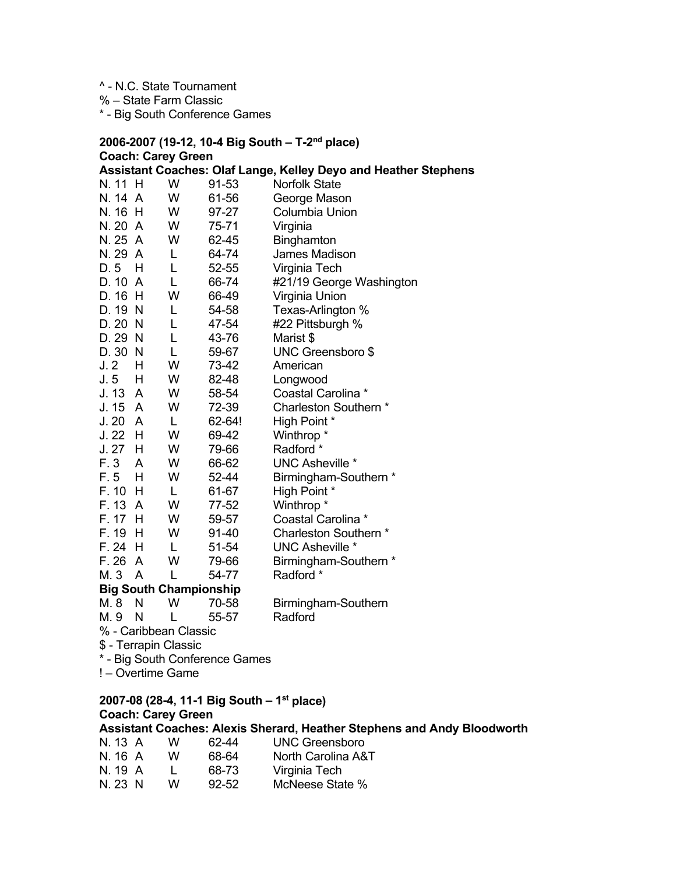^ - N.C. State Tournament

% – State Farm Classic

\* - Big South Conference Games

#### **2006-2007 (19-12, 10-4 Big South – T-2nd place) Coach: Carey Green Assistant Coaches: Olaf Lange, Kelley Deyo and Heather Stephens**

| N. 11 H   |     | W                     | 91-53                         | <b>Norfolk State</b>     |
|-----------|-----|-----------------------|-------------------------------|--------------------------|
| N. 14 A   |     | W                     | 61-56                         | George Mason             |
| N. 16     | H   | W                     | 97-27                         | <b>Columbia Union</b>    |
| N. 20     | A   | W                     | 75-71                         | Virginia                 |
| N. 25 A   |     | W                     | 62-45                         | Binghamton               |
| N. 29 A   |     | L                     | 64-74                         | James Madison            |
| D. 5      | н   | L                     | 52-55                         | Virginia Tech            |
| D.10      | A   | L                     | 66-74                         | #21/19 George Washington |
| D. 16     | H   | W                     | 66-49                         | Virginia Union           |
| D. 19     | -N  | L                     | 54-58                         | Texas-Arlington %        |
| D.20      | - N | L                     | 47-54                         | #22 Pittsburgh %         |
| D. 29     | - N | L                     | 43-76                         | Marist \$                |
| D. 30     | N   | L                     | 59-67                         | UNC Greensboro \$        |
| J.2       | Н   | W                     | 73-42                         | American                 |
| J.5       | H   | W                     | 82-48                         | Longwood                 |
| J. 13 A   |     | W                     | 58-54                         | Coastal Carolina *       |
| J. 15     | A   | W                     | 72-39                         | Charleston Southern *    |
| J. 20     | A   | L                     | 62-64!                        | High Point *             |
| $J.22$ H  |     | W                     | 69-42                         | Winthrop <sup>*</sup>    |
| $J.27$ H  |     | W                     | 79-66                         | Radford *                |
| F. 3      | A   | W                     | 66-62                         | <b>UNC Asheville *</b>   |
| F. 5      | H   | W                     | 52-44                         | Birmingham-Southern *    |
| F. 10 H   |     | L                     | 61-67                         | High Point *             |
| F. 13     | A   | W                     | 77-52                         | Winthrop <sup>*</sup>    |
| F. 17     | H   | W                     | 59-57                         | Coastal Carolina *       |
| F. 19     | н   | W                     | 91-40                         | Charleston Southern *    |
| $F. 24$ H |     | L                     | 51-54                         | <b>UNC Asheville *</b>   |
| F. 26 A   |     | W                     | 79-66                         | Birmingham-Southern *    |
| M. 3      | A   | L                     | 54-77                         | Radford *                |
|           |     |                       | <b>Big South Championship</b> |                          |
| M. 8      | N   | W                     | 70-58                         | Birmingham-Southern      |
| M. 9      | N   | L                     | 55-57                         | Radford                  |
|           |     | % - Caribbean Classic |                               |                          |
|           |     |                       |                               |                          |

\$ - Terrapin Classic

\* - Big South Conference Games

! – Overtime Game

#### **2007-08 (28-4, 11-1 Big South – 1st place) Coach: Carey Green Assistant Coaches: Alexis Sherard, Heather Stephens and Andy Bloodworth**

| N. 13 A | w | 62-44     | UNC Greensboro     |
|---------|---|-----------|--------------------|
| N. 16 A | w | 68-64     | North Carolina A&T |
| N. 19 A |   | 68-73     | Virginia Tech      |
| N. 23 N | w | $92 - 52$ | McNeese State %    |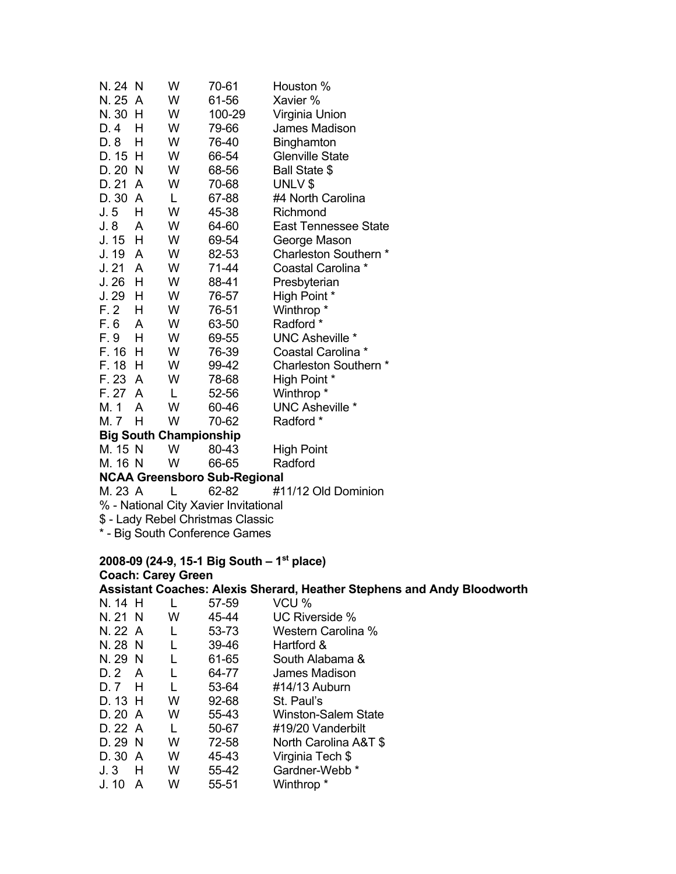| N. 24 N         |                                | W                             | 70-61                                 | Houston %                                                                      |  |  |  |
|-----------------|--------------------------------|-------------------------------|---------------------------------------|--------------------------------------------------------------------------------|--|--|--|
| N. 25 A         |                                | W                             | 61-56                                 | Xavier %                                                                       |  |  |  |
| N. 30 H         |                                | W                             | 100-29                                | Virginia Union                                                                 |  |  |  |
| D.4             | Н                              | W                             | 79-66                                 | James Madison                                                                  |  |  |  |
| D. 8            | Н                              | W                             | 76-40                                 | Binghamton                                                                     |  |  |  |
| D. 15 H         |                                | W                             | 66-54                                 | <b>Glenville State</b>                                                         |  |  |  |
| D. 20 N         |                                | W                             | 68-56                                 | Ball State \$                                                                  |  |  |  |
| D. 21           | A                              | W                             | 70-68                                 | UNLV \$                                                                        |  |  |  |
| D. 30 A         |                                | L                             | 67-88                                 | #4 North Carolina                                                              |  |  |  |
| J.5             | Н                              | W                             | 45-38                                 | Richmond                                                                       |  |  |  |
| J.8             | A                              | W                             | 64-60                                 | East Tennessee State                                                           |  |  |  |
| J. 15           | H                              | W                             | 69-54                                 | George Mason                                                                   |  |  |  |
| J. 19           | A                              | W                             | 82-53                                 | Charleston Southern *                                                          |  |  |  |
| J.21            | A                              | W                             | 71-44                                 | Coastal Carolina *                                                             |  |  |  |
| J.26            | H                              | W                             | 88-41                                 | Presbyterian                                                                   |  |  |  |
| J. 29           | H                              | W                             | 76-57                                 | High Point *                                                                   |  |  |  |
| F.2             | H                              | W                             | 76-51                                 | Winthrop <sup>*</sup>                                                          |  |  |  |
| F.6             | A                              | W                             | 63-50                                 | Radford *                                                                      |  |  |  |
| F. 9            | H                              | W                             | 69-55                                 | <b>UNC Asheville *</b>                                                         |  |  |  |
| F. 16           | H                              | W                             | 76-39                                 | Coastal Carolina *                                                             |  |  |  |
| F. 18           | H                              | W                             | 99-42                                 | Charleston Southern *                                                          |  |  |  |
| F. 23           | A                              | W                             | 78-68                                 | High Point *                                                                   |  |  |  |
| F. 27           | A                              | L                             | 52-56                                 | Winthrop *                                                                     |  |  |  |
| M. 1            | A                              | W                             | 60-46                                 | <b>UNC Asheville *</b>                                                         |  |  |  |
| M. 7 H          |                                | W                             | 70-62                                 | Radford *                                                                      |  |  |  |
|                 |                                | <b>Big South Championship</b> |                                       |                                                                                |  |  |  |
| M. 15 N         |                                | W                             | 80-43                                 | <b>High Point</b>                                                              |  |  |  |
| M. 16 N         |                                | W                             | 66-65                                 | Radford                                                                        |  |  |  |
|                 |                                |                               | <b>NCAA Greensboro Sub-Regional</b>   |                                                                                |  |  |  |
| M. 23 A         |                                | L                             | 62-82                                 | #11/12 Old Dominion                                                            |  |  |  |
|                 |                                |                               | % - National City Xavier Invitational |                                                                                |  |  |  |
|                 |                                |                               | \$ - Lady Rebel Christmas Classic     |                                                                                |  |  |  |
|                 | * - Big South Conference Games |                               |                                       |                                                                                |  |  |  |
|                 |                                |                               |                                       | 2008-09 (24-9, 15-1 Big South – 1 <sup>st</sup> place)                         |  |  |  |
|                 |                                | <b>Coach: Carey Green</b>     |                                       |                                                                                |  |  |  |
|                 |                                |                               |                                       | <b>Assistant Coaches: Alexis Sherard, Heather Stephens and Andy Bloodworth</b> |  |  |  |
| N. 14 H         |                                | L                             | 57-59                                 | VCU %                                                                          |  |  |  |
| N. 21 N         |                                | W                             | 45-44                                 | UC Riverside %                                                                 |  |  |  |
| N. 22 A         |                                | L                             | 53-73                                 | Western Carolina %                                                             |  |  |  |
| <b>NI 00 NI</b> |                                | $\mathbf{L}$                  | ON JO                                 | $H$ <sub>o</sub> $H$ <sub>ord</sub> $0$                                        |  |  |  |

- N. 28 N L 39-46 Hartford & N. 29 N L 61-65 South Alabama &<br>D. 2 A L 64-77 James Madison D. 2 A L 64-77 James Madison<br>D. 7 H L 53-64 #14/13 Auburn
- D. 7 H L 53-64 #14/13 Auburn<br>D. 13 H W 92-68 St. Paul's St. Paul's
- 
- D. 20 A W 55-43 Winston-Salem State<br>D. 22 A L 50-67 #19/20 Vanderbilt
- D. 22 A L 50-67 #19/20 Vanderbilt<br>D. 29 N W 72-58 North Carolina A& D. 29 N W 72-58 North Carolina A&T \$<br>D. 30 A W 45-43 Virginia Tech \$
- Virginia Tech \$
- J. 3 H W 55-42 Gardner-Webb \*
- Winthrop \*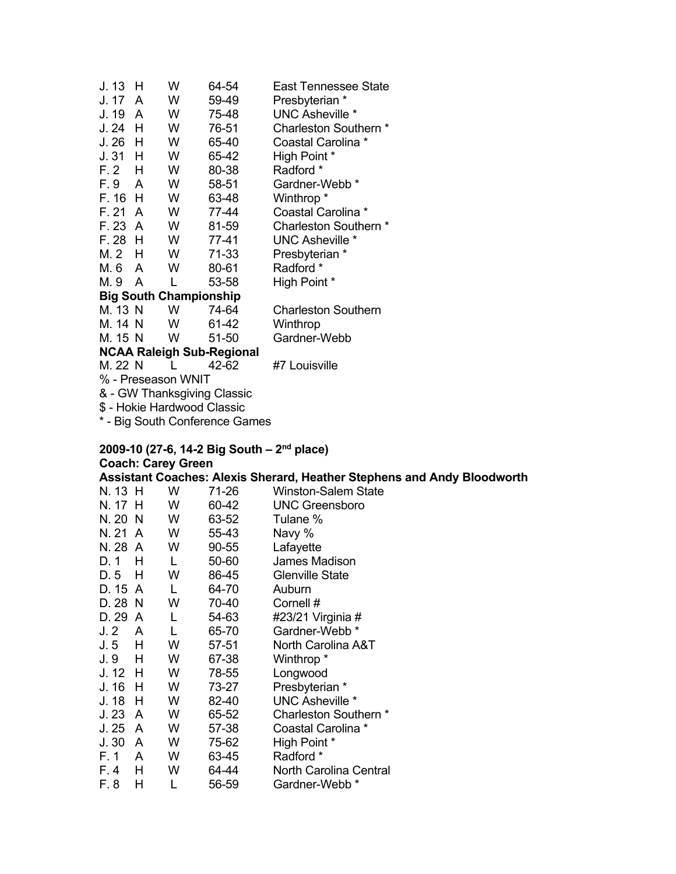| J. 13                         | н                                | W | 64-54 | East Tennessee State       |  |  |  |  |
|-------------------------------|----------------------------------|---|-------|----------------------------|--|--|--|--|
| J. 17                         | A                                | w | 59-49 | Presbyterian *             |  |  |  |  |
| J. 19                         | A                                | W | 75-48 | <b>UNC Asheville *</b>     |  |  |  |  |
| J. 24                         | н                                | W | 76-51 | Charleston Southern *      |  |  |  |  |
| J. 26                         | н                                | w | 65-40 | Coastal Carolina *         |  |  |  |  |
| J. 31                         | н                                | W | 65-42 | High Point *               |  |  |  |  |
| F. 2                          | н                                | w | 80-38 | Radford *                  |  |  |  |  |
| F. 9                          | A                                | W | 58-51 | Gardner-Webb *             |  |  |  |  |
| F. 16                         | н                                | W | 63-48 | Winthrop *                 |  |  |  |  |
| F. 21                         | A                                | W | 77-44 | Coastal Carolina *         |  |  |  |  |
| F. 23                         | A                                | W | 81-59 | Charleston Southern *      |  |  |  |  |
| F. 28                         | н                                | W | 77-41 | <b>UNC Asheville *</b>     |  |  |  |  |
| M. 2                          | н                                | W | 71-33 | Presbyterian *             |  |  |  |  |
| M. 6                          | A                                | W | 80-61 | Radford *                  |  |  |  |  |
| M. 9                          | A                                | L | 53-58 | High Point *               |  |  |  |  |
| <b>Big South Championship</b> |                                  |   |       |                            |  |  |  |  |
| M. 13 N                       |                                  | W | 74-64 | <b>Charleston Southern</b> |  |  |  |  |
| M. 14 N                       |                                  | W | 61-42 | Winthrop                   |  |  |  |  |
| M. 15 N                       |                                  | W | 51-50 | Gardner-Webb               |  |  |  |  |
|                               | <b>NCAA Raleigh Sub-Regional</b> |   |       |                            |  |  |  |  |
| M. 22 N                       |                                  |   | 42-62 | #7 Louisville              |  |  |  |  |
|                               | % - Preseason WNIT               |   |       |                            |  |  |  |  |

& - GW Thanksgiving Classic

\$ - Hokie Hardwood Classic

\* - Big South Conference Games

# **2009-10 (27-6, 14-2 Big South – 2nd place)**

# **Coach: Carey Green**

**Assistant Coaches: Alexis Sherard, Heather Stephens and Andy Bloodworth** 

| N. 13 H |   | W | 71-26 | <b>Winston-Salem State</b> |
|---------|---|---|-------|----------------------------|
| N. 17   | н | W | 60-42 | <b>UNC Greensboro</b>      |
| N. 20   | N | W | 63-52 | Tulane %                   |
| N. 21   | A | W | 55-43 | Navy %                     |
| N. 28   | A | W | 90-55 | Lafayette                  |
| D. 1    | н | L | 50-60 | <b>James Madison</b>       |
| D.5     | н | W | 86-45 | <b>Glenville State</b>     |
| D. 15   | A | L | 64-70 | Auburn                     |
| D. 28   | N | W | 70-40 | Cornell #                  |
| D. 29   | A | L | 54-63 | #23/21 Virginia #          |
| J.2     | A | L | 65-70 | Gardner-Webb <sup>*</sup>  |
| J. 5    | н | W | 57-51 | North Carolina A&T         |
| J. 9    | Н | W | 67-38 | Winthrop <sup>*</sup>      |
| J. 12   | H | W | 78-55 | Longwood                   |
| J. 16   | н | W | 73-27 | Presbyterian *             |
| J. 18   | н | W | 82-40 | <b>UNC Asheville *</b>     |
| J.23    | A | W | 65-52 | Charleston Southern *      |
| J. 25   | A | W | 57-38 | Coastal Carolina *         |
| J.30    | A | W | 75-62 | High Point *               |
| F. 1    | A | W | 63-45 | Radford *                  |
| F. 4    | н | W | 64-44 | North Carolina Central     |
| F. 8    | н |   | 56-59 | Gardner-Webb <sup>*</sup>  |
|         |   |   |       |                            |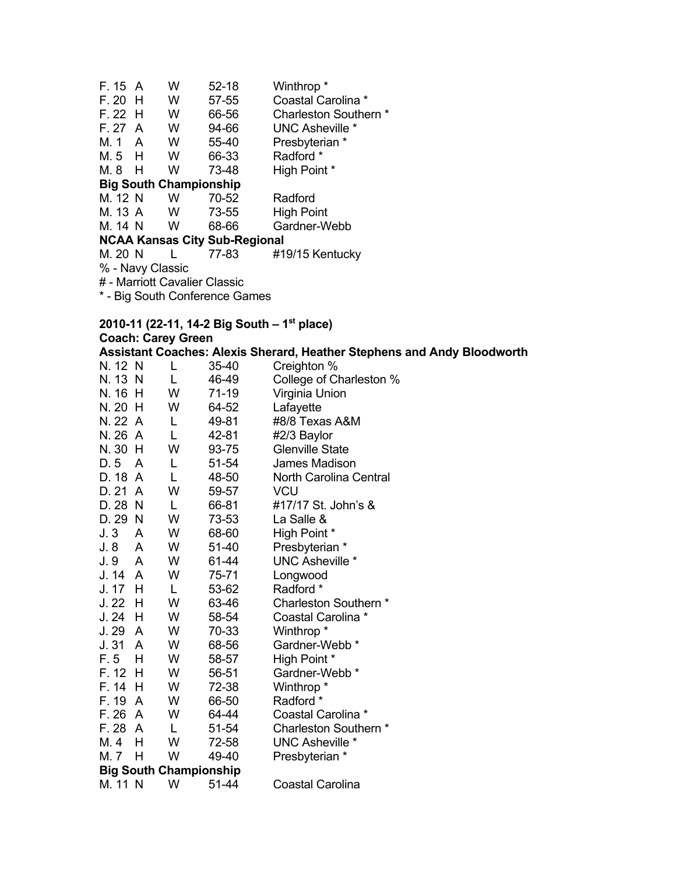| F. 15 A                              |                               | w                             | $52 - 18$ | Winthrop <sup>*</sup>  |  |  |  |  |
|--------------------------------------|-------------------------------|-------------------------------|-----------|------------------------|--|--|--|--|
| $F. 20$ H                            |                               | w                             | $57 - 55$ | Coastal Carolina *     |  |  |  |  |
| $F.22$ H                             |                               | W                             | 66-56     | Charleston Southern *  |  |  |  |  |
| F. 27 A                              |                               | W                             | 94-66     | <b>UNC Asheville *</b> |  |  |  |  |
| M. 1 A                               |                               | w                             | 55-40     | Presbyterian *         |  |  |  |  |
| M.5 H                                |                               | w                             | 66-33     | Radford *              |  |  |  |  |
| M. 8                                 | H                             | w                             | 73-48     | High Point *           |  |  |  |  |
|                                      |                               | <b>Big South Championship</b> |           |                        |  |  |  |  |
| M. 12 N                              |                               | W                             | 70-52     | Radford                |  |  |  |  |
| M. 13 A                              |                               | W                             | 73-55     | High Point             |  |  |  |  |
| M. 14 N                              |                               | w                             | 68-66     | Gardner-Webb           |  |  |  |  |
| <b>NCAA Kansas City Sub-Regional</b> |                               |                               |           |                        |  |  |  |  |
| M. 20 N                              |                               | L                             | 77-83     | #19/15 Kentucky        |  |  |  |  |
| % - Navy Classic                     |                               |                               |           |                        |  |  |  |  |
|                                      | # - Marriott Cavalier Classic |                               |           |                        |  |  |  |  |

\* - Big South Conference Games

# **2010-11 (22-11, 14-2 Big South – 1st place)**

# **Coach: Carey Green**<br>Assistant Coaches: Ale

|                               | <b>Coach: Carey Green</b> |       |                                                                                |  |  |  |
|-------------------------------|---------------------------|-------|--------------------------------------------------------------------------------|--|--|--|
|                               |                           |       | <b>Assistant Coaches: Alexis Sherard, Heather Stephens and Andy Bloodworth</b> |  |  |  |
| N. 12 N                       | L                         | 35-40 | Creighton %                                                                    |  |  |  |
| N. 13 N                       | L                         | 46-49 | College of Charleston %                                                        |  |  |  |
| N. 16<br>H                    | W                         | 71-19 | Virginia Union                                                                 |  |  |  |
| N. 20 H                       | W                         | 64-52 | Lafayette                                                                      |  |  |  |
| N. 22 A                       | L                         | 49-81 | #8/8 Texas A&M                                                                 |  |  |  |
| N. 26<br>$\overline{A}$       | L                         | 42-81 | #2/3 Baylor                                                                    |  |  |  |
| N. 30<br>H,                   | W                         | 93-75 | <b>Glenville State</b>                                                         |  |  |  |
| D.5<br>A                      | L                         | 51-54 | James Madison                                                                  |  |  |  |
| D. 18 A                       | L                         | 48-50 | North Carolina Central                                                         |  |  |  |
| D. 21<br>A                    | W                         | 59-57 | <b>VCU</b>                                                                     |  |  |  |
| D. 28<br><b>N</b>             | L                         | 66-81 | #17/17 St. John's &                                                            |  |  |  |
| D. 29<br>-N                   | W                         | 73-53 | La Salle &                                                                     |  |  |  |
| J.3<br>A                      | W                         | 68-60 | High Point *                                                                   |  |  |  |
| J. 8<br>A                     | W                         | 51-40 | Presbyterian *                                                                 |  |  |  |
| J. 9<br>A                     | W                         | 61-44 | <b>UNC Asheville *</b>                                                         |  |  |  |
| J. 14<br>A                    | W                         | 75-71 | Longwood                                                                       |  |  |  |
| J. 17<br>H                    | L                         | 53-62 | Radford *                                                                      |  |  |  |
| J.22<br>H                     | W                         | 63-46 | Charleston Southern *                                                          |  |  |  |
| J.24<br>H                     | W                         | 58-54 | Coastal Carolina *                                                             |  |  |  |
| J. 29<br>A                    | W                         | 70-33 | Winthrop <sup>*</sup>                                                          |  |  |  |
| J.31<br>A                     | W                         | 68-56 | Gardner-Webb *                                                                 |  |  |  |
| F. 5<br>Н                     | W                         | 58-57 | High Point *                                                                   |  |  |  |
| F. 12<br>H                    | W                         | 56-51 | Gardner-Webb *                                                                 |  |  |  |
| F. 14<br>H                    | W                         | 72-38 | Winthrop *                                                                     |  |  |  |
| F. 19<br>A                    | W                         | 66-50 | Radford *                                                                      |  |  |  |
| F. 26<br>A                    | W                         | 64-44 | Coastal Carolina *                                                             |  |  |  |
| F. 28<br>A                    | L                         | 51-54 | Charleston Southern *                                                          |  |  |  |
| M. 4<br>Н                     | W                         | 72-58 | <b>UNC Asheville *</b>                                                         |  |  |  |
| M. 7<br>H                     | W                         | 49-40 | Presbyterian *                                                                 |  |  |  |
| <b>Big South Championship</b> |                           |       |                                                                                |  |  |  |
| M. 11 N                       | W                         | 51-44 | <b>Coastal Carolina</b>                                                        |  |  |  |
|                               |                           |       |                                                                                |  |  |  |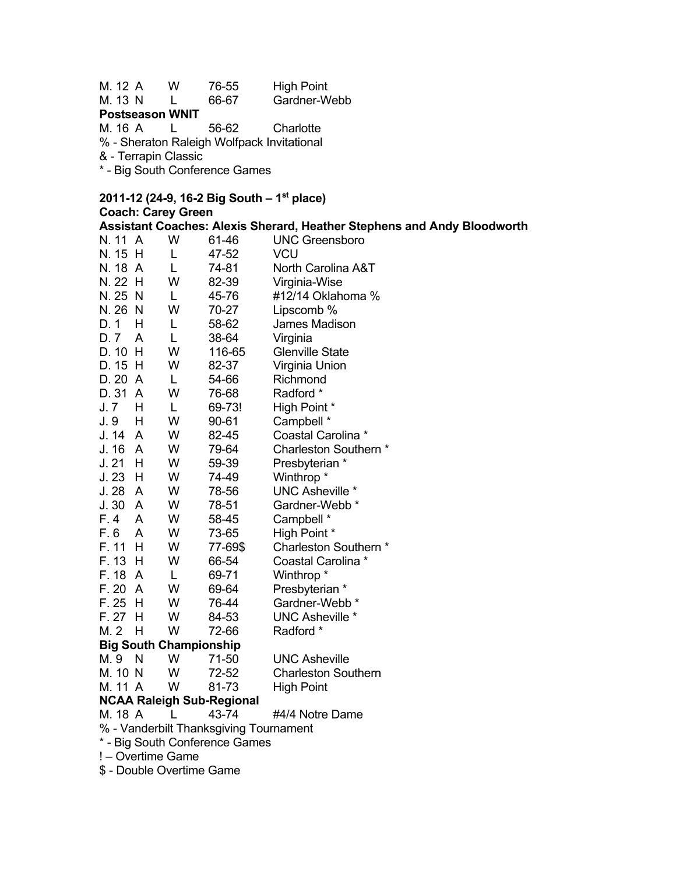M. 12 A W 76-55 High Point M. 13 N L 66-67 Gardner-Webb **Postseason WNIT**  M. 16 A L 56-62 Charlotte % - Sheraton Raleigh Wolfpack Invitational & - Terrapin Classic \* - Big South Conference Games

#### **2011-12 (24-9, 16-2 Big South – 1st place)**

#### **Coach: Carey Green Assistant Coaches: Alexis Sherard, Heather Stephens and Andy Bloodworth**  N. 11 A W 61-46 UNC Greensboro N. 15 H L 47-52 VCU N. 18 A L 74-81 North Carolina A&T N. 22 H W 82-39 Virginia-Wise N. 25 N L 45-76 #12/14 Oklahoma % N. 26 N W 70-27 Lipscomb % D. 1 H L 58-62 James Madison D. 7 A L 38-64 Virginia D. 10 H W 116-65 Glenville State D. 15 H W 82-37 Virginia Union D. 20 A L 54-66 Richmond D. 31 A W 76-68 Radford \* J. 7 H L 69-73! High Point \* J. 9 H W 90-61 Campbell \* J. 14 A W 82-45 Coastal Carolina \* W 79-64 Charleston Southern \* J. 21 H W 59-39 Presbyterian \* J. 23 H W 74-49 Winthrop \* J. 28 A W 78-56 UNC Asheville \* J. 30 A W 78-51 Gardner-Webb \* F. 4 A W 58-45 Campbell \* F. 6 A W 73-65 High Point \*<br>F. 11 H W 77-69\$ Charleston S W 77-69\$ Charleston Southern \* F. 13 H W 66-54 Coastal Carolina \* F. 18 A L 69-71 Winthrop \* F. 20 A W 69-64 Presbyterian \* F. 25 H W 76-44 Gardner-Webb \* F. 27 H W 84-53 UNC Asheville \* M. 2 H W 72-66 Radford \* **Big South Championship**  M. 9 N W 71-50 UNC Asheville M. 10 N W 72-52 Charleston Southern M. 11 A W 81-73 High Point **NCAA Raleigh Sub-Regional**  M. 18 A L 43-74 #4/4 Notre Dame % - Vanderbilt Thanksgiving Tournament \* - Big South Conference Games

! – Overtime Game \$ - Double Overtime Game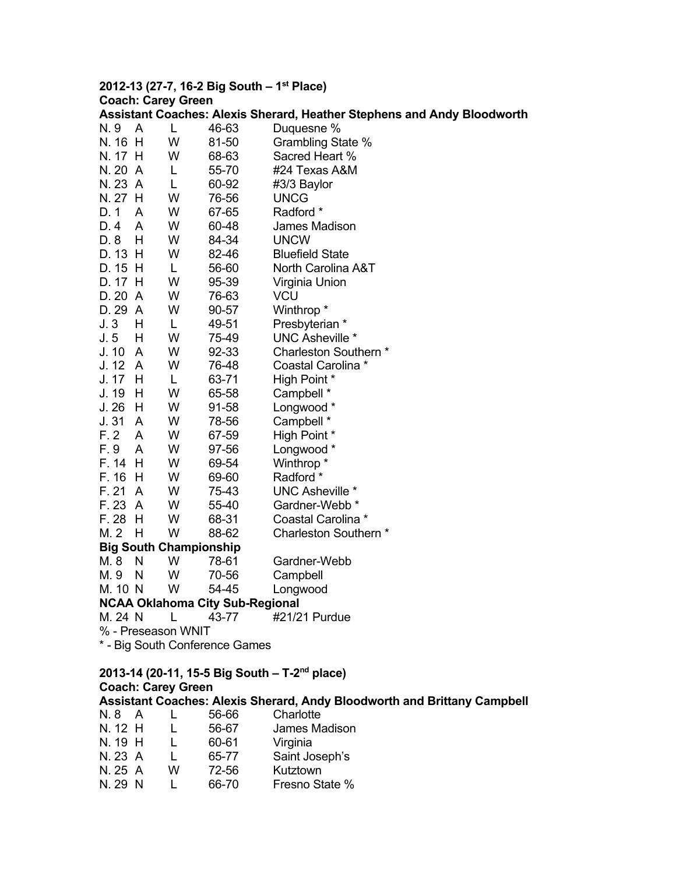# **2012-13 (27-7, 16-2 Big South – 1st Place) Coach: Carey Green**

|         | Assistant Coaches: Alexis Sherard, Heather Stephens and Andy Bloodworth |                               |                                        |                                                                          |  |  |  |
|---------|-------------------------------------------------------------------------|-------------------------------|----------------------------------------|--------------------------------------------------------------------------|--|--|--|
| N. 9    | A                                                                       | L                             | 46-63                                  | Duquesne %                                                               |  |  |  |
| N. 16   | H                                                                       | W                             | 81-50                                  | Grambling State %                                                        |  |  |  |
| N. 17 H |                                                                         | W                             | 68-63                                  | Sacred Heart %                                                           |  |  |  |
| N. 20 A |                                                                         | L                             | 55-70                                  | #24 Texas A&M                                                            |  |  |  |
| N. 23 A |                                                                         | L                             | 60-92                                  | #3/3 Baylor                                                              |  |  |  |
| N. 27 H |                                                                         | W                             | 76-56                                  | <b>UNCG</b>                                                              |  |  |  |
| D. 1    | A                                                                       | W                             | 67-65                                  | Radford *                                                                |  |  |  |
| D. 4    | A                                                                       | W                             | 60-48                                  | James Madison                                                            |  |  |  |
| D. 8    | Н                                                                       | W                             | 84-34                                  | <b>UNCW</b>                                                              |  |  |  |
| D. 13 H |                                                                         | W                             | 82-46                                  | <b>Bluefield State</b>                                                   |  |  |  |
| D. 15 H |                                                                         | L                             | 56-60                                  | North Carolina A&T                                                       |  |  |  |
| D. 17 H |                                                                         | W                             | 95-39                                  | Virginia Union                                                           |  |  |  |
| D. 20   | $\mathsf{A}$                                                            | W                             | 76-63                                  | <b>VCU</b>                                                               |  |  |  |
| D. 29   | $\mathsf{A}$                                                            | W                             | 90-57                                  | Winthrop *                                                               |  |  |  |
| J. 3    | H                                                                       | L                             | 49-51                                  | Presbyterian *                                                           |  |  |  |
| J. 5    | н                                                                       | W                             | 75-49                                  | <b>UNC Asheville *</b>                                                   |  |  |  |
| J. 10   | A                                                                       | W                             | 92-33                                  | Charleston Southern *                                                    |  |  |  |
| J. 12   | A                                                                       | W                             | 76-48                                  | Coastal Carolina *                                                       |  |  |  |
| J. 17   | H                                                                       | L                             | 63-71                                  | High Point *                                                             |  |  |  |
| J. 19   | H                                                                       | W                             | 65-58                                  | Campbell *                                                               |  |  |  |
| J. 26   | H                                                                       | W                             | 91-58                                  | Longwood *                                                               |  |  |  |
| J.31    | A                                                                       | W                             | 78-56                                  | Campbell *                                                               |  |  |  |
| F.2     | A                                                                       | W                             | 67-59                                  | High Point *                                                             |  |  |  |
| F. 9    | A                                                                       | W                             | 97-56                                  | Longwood *                                                               |  |  |  |
| F. 14   | H                                                                       | W                             | 69-54                                  | Winthrop <sup>*</sup>                                                    |  |  |  |
| F. 16   | H                                                                       | W                             | 69-60                                  | Radford *                                                                |  |  |  |
| F. 21   | A                                                                       | W                             | 75-43                                  | UNC Asheville *                                                          |  |  |  |
| F. 23   | $\mathsf{A}$                                                            | W                             | 55-40                                  | Gardner-Webb *                                                           |  |  |  |
| F. 28   | H                                                                       | W                             | 68-31                                  | Coastal Carolina *                                                       |  |  |  |
| M. 2    | H                                                                       | W                             | 88-62                                  | Charleston Southern *                                                    |  |  |  |
|         |                                                                         | <b>Big South Championship</b> |                                        |                                                                          |  |  |  |
| M. 8    | N                                                                       | W                             | 78-61                                  | Gardner-Webb                                                             |  |  |  |
| M. 9    | N                                                                       | W                             | 70-56                                  | Campbell                                                                 |  |  |  |
| M. 10 N |                                                                         | W                             | 54-45                                  | Longwood                                                                 |  |  |  |
|         |                                                                         |                               | <b>NCAA Oklahoma City Sub-Regional</b> |                                                                          |  |  |  |
|         |                                                                         |                               | M. 24 N L 43-77                        | #21/21 Purdue                                                            |  |  |  |
|         |                                                                         | % - Preseason WNIT            |                                        |                                                                          |  |  |  |
|         | * - Big South Conference Games                                          |                               |                                        |                                                                          |  |  |  |
|         |                                                                         |                               |                                        |                                                                          |  |  |  |
|         |                                                                         |                               |                                        | 2013-14 (20-11, 15-5 Big South - T-2 <sup>nd</sup> place)                |  |  |  |
|         |                                                                         | <b>Coach: Carey Green</b>     |                                        |                                                                          |  |  |  |
|         |                                                                         |                               |                                        | Assistant Coaches: Alexis Sherard, Andy Bloodworth and Brittany Campbell |  |  |  |
| N. 8 A  |                                                                         | L                             | 56-66                                  | Charlotte                                                                |  |  |  |
| N. 12 H |                                                                         | L                             | 56-67                                  | James Madison                                                            |  |  |  |
|         | N. 19 H L                                                               |                               | 60-61                                  | Virginia                                                                 |  |  |  |
|         | N. 23 A                                                                 | L                             | 65-77                                  | Saint Joseph's                                                           |  |  |  |

N. 25 A W 72-56 Kutztown

| N. 29 N | 66-70 | Fresno State % |
|---------|-------|----------------|
|---------|-------|----------------|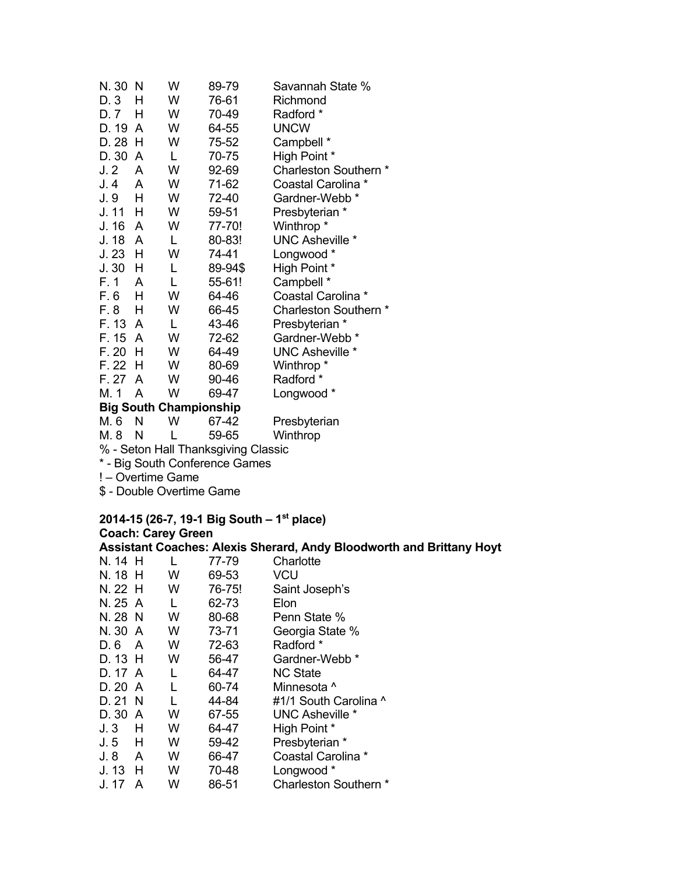| N. 30 | N                             | W | 89-79   | Savannah State %          |  |  |  |
|-------|-------------------------------|---|---------|---------------------------|--|--|--|
| D. 3  | н                             | W | 76-61   | Richmond                  |  |  |  |
| D. 7  | н                             | W | 70-49   | Radford *                 |  |  |  |
| D. 19 | A                             | W | 64-55   | <b>UNCW</b>               |  |  |  |
| D. 28 | H                             | W | 75-52   | Campbell *                |  |  |  |
| D. 30 | A                             | L | 70-75   | High Point *              |  |  |  |
| J.2   | A                             | W | 92-69   | Charleston Southern *     |  |  |  |
| J.4   | A                             | W | 71-62   | Coastal Carolina *        |  |  |  |
| J. 9  | н                             | W | 72-40   | Gardner-Webb *            |  |  |  |
| J. 11 | н                             | W | 59-51   | Presbyterian *            |  |  |  |
| J. 16 | A                             | W | 77-70!  | Winthrop*                 |  |  |  |
| J. 18 | A                             | L | 80-83!  | <b>UNC Asheville *</b>    |  |  |  |
| J. 23 | н                             | W | 74-41   | Longwood *                |  |  |  |
| J.30  | н                             | L | 89-94\$ | High Point *              |  |  |  |
| F. 1  | A                             | L | 55-61!  | Campbell *                |  |  |  |
| F. 6  | H                             | W | 64-46   | Coastal Carolina *        |  |  |  |
| F. 8  | н                             | W | 66-45   | Charleston Southern *     |  |  |  |
| F. 13 | A                             | L | 43-46   | Presbyterian *            |  |  |  |
| F. 15 | A                             | W | 72-62   | Gardner-Webb <sup>*</sup> |  |  |  |
| F. 20 | н                             | W | 64-49   | UNC Asheville *           |  |  |  |
| F. 22 | н                             | W | 80-69   | Winthrop *                |  |  |  |
| F. 27 | A                             | W | 90-46   | Radford *                 |  |  |  |
| M. 1  | A                             | W | 69-47   | Longwood *                |  |  |  |
|       | <b>Big South Championship</b> |   |         |                           |  |  |  |

**M.6 N W 67-42** 

M. 6 N W 67-42 Presbyterian<br>M. 8 N L 59-65 Winthrop L 59-65 Winthrop

% - Seton Hall Thanksgiving Classic

\* - Big South Conference Games

! – Overtime Game

\$ - Double Overtime Game

# **2014-15 (26-7, 19-1 Big South – 1st place) Coach: Carey Green**

**Assistant Coaches: Alexis Sherard, Andy Bloodworth and Brittany Hoyt**  N. 14 H L 77-79 Charlotte

| N. 18 H |     | W | 69-53  | VCU                        |
|---------|-----|---|--------|----------------------------|
| N. 22 H |     | W | 76-75! | Saint Joseph's             |
| N. 25 A |     |   | 62-73  | Elon                       |
| N. 28 N |     | w | 80-68  | Penn State %               |
| N. 30 A |     | w | 73-71  | Georgia State %            |
| D. 6    | A   | W | 72-63  | Radford *                  |
| D. 13 H |     | w | 56-47  | Gardner-Webb *             |
| D. 17 A |     | L | 64-47  | <b>NC State</b>            |
| D. 20 A |     | L | 60-74  | Minnesota ^                |
| D. 21 N |     | L | 44-84  | #1/1 South Carolina ^      |
| D. 30 A |     | w | 67-55  | <b>UNC Asheville *</b>     |
| J.3     | н   | W | 64-47  | High Point *               |
| J.5     | H   | w | 59-42  | Presbyterian *             |
| J. 8    | A   | W | 66-47  | Coastal Carolina *         |
| J. 13   | - H | W | 70-48  | Longwood *                 |
| J. 17   | A   | W | 86-51  | <b>Charleston Southern</b> |
|         |     |   |        |                            |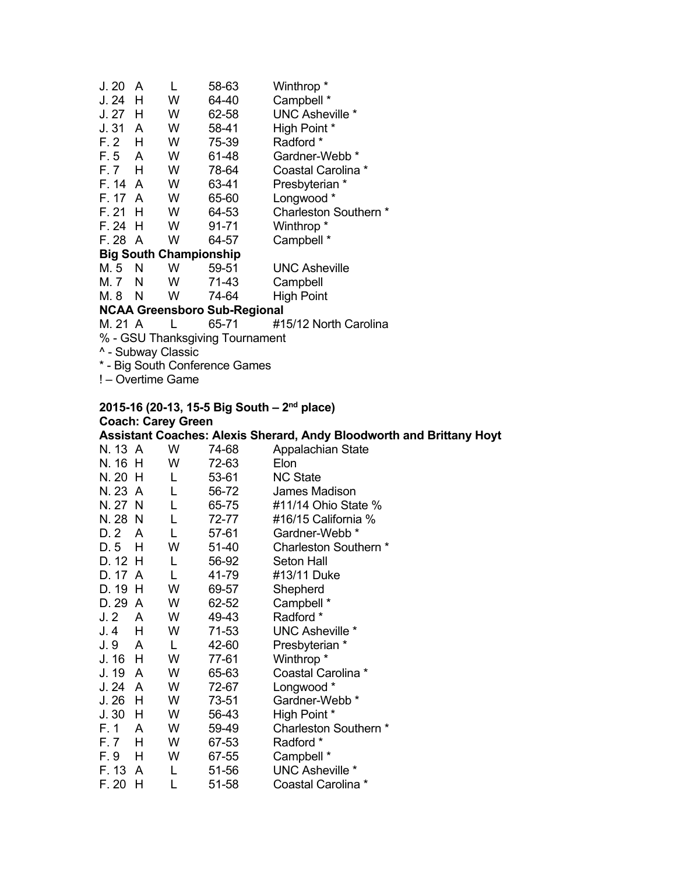| J.20                          | A                                   |   | 58-63 | Winthrop <sup>*</sup>  |  |  |  |
|-------------------------------|-------------------------------------|---|-------|------------------------|--|--|--|
| J. 24                         | H                                   | w | 64-40 | Campbell *             |  |  |  |
| J. 27                         | н                                   | W | 62-58 | <b>UNC Asheville *</b> |  |  |  |
| J.31                          | A                                   | W | 58-41 | High Point *           |  |  |  |
| F. 2                          | н                                   | W | 75-39 | Radford *              |  |  |  |
| F. 5                          | A                                   | W | 61-48 | Gardner-Webb *         |  |  |  |
| F.7 H                         |                                     | W | 78-64 | Coastal Carolina *     |  |  |  |
| F. 14                         | A                                   | W | 63-41 | Presbyterian *         |  |  |  |
| F. 17                         | A                                   | W | 65-60 | Longwood *             |  |  |  |
| F. 21                         | н                                   | W | 64-53 | Charleston Southern *  |  |  |  |
| F. 24                         | H                                   | w | 91-71 | Winthrop <sup>*</sup>  |  |  |  |
| F. 28 A                       |                                     | w | 64-57 | Campbell *             |  |  |  |
| <b>Big South Championship</b> |                                     |   |       |                        |  |  |  |
| M. 5                          | N                                   | w | 59-51 | <b>UNC Asheville</b>   |  |  |  |
| M. 7                          | N                                   | w | 71-43 | Campbell               |  |  |  |
| M. 8                          | N                                   | W | 74-64 | <b>High Point</b>      |  |  |  |
|                               | <b>NCAA Greensboro Sub-Regional</b> |   |       |                        |  |  |  |

#### M. 21 A L 65-71 #15/12 North Carolina

% - GSU Thanksgiving Tournament

^ - Subway Classic

\* - Big South Conference Games

! – Overtime Game

### **2015-16 (20-13, 15-5 Big South – 2nd place) Coach: Carey Green**

|         |    |    |           | <b>Assistant Coaches: Alexis Sherard, Andy Bloodworth and Brittany Hoyt</b> |
|---------|----|----|-----------|-----------------------------------------------------------------------------|
| N. 13 A |    | W  | 74-68     | Appalachian State                                                           |
| N. 16 H |    | W  | 72-63     | Elon                                                                        |
| N. 20 H |    | L  | 53-61     | <b>NC State</b>                                                             |
| N. 23 A |    | L  | 56-72     | James Madison                                                               |
| N. 27 N |    | L. | 65-75     | #11/14 Ohio State %                                                         |
| N. 28 N |    | L  | 72-77     | #16/15 California %                                                         |
| D. 2    | A  | L. | 57-61     | Gardner-Webb *                                                              |
| D.5     | Н  | W  | $51 - 40$ | Charleston Southern *                                                       |
| D. 12 H |    | L  | 56-92     | Seton Hall                                                                  |
| D. 17 A |    | L  | 41-79     | #13/11 Duke                                                                 |
| D. 19 H |    | W  | 69-57     | Shepherd                                                                    |
| D. 29   | A  | W  | 62-52     | Campbell *                                                                  |
| J. 2    | A  | W  | 49-43     | Radford *                                                                   |
| J. 4    | H  | W  | 71-53     | <b>UNC Asheville *</b>                                                      |
| J. 9    | A  | L  | 42-60     | Presbyterian *                                                              |
| J. 16   | H  | W  | 77-61     | Winthrop <sup>*</sup>                                                       |
| J. 19   | A  | W  | 65-63     | Coastal Carolina *                                                          |
| J. 24   | A  | W  | 72-67     | Longwood *                                                                  |
| J. 26   | H  | W  | 73-51     | Gardner-Webb <sup>*</sup>                                                   |
| J.30    | H  | W  | 56-43     | High Point *                                                                |
| F. 1    | A  | W  | 59-49     | Charleston Southern *                                                       |
| F. 7    | H  | W  | 67-53     | Radford *                                                                   |
| F. 9    | H  | W  | 67-55     | Campbell *                                                                  |
| F. 13   | A  | L  | 51-56     | <b>UNC Asheville *</b>                                                      |
| F. 20   | H, | L  | 51-58     | Coastal Carolina *                                                          |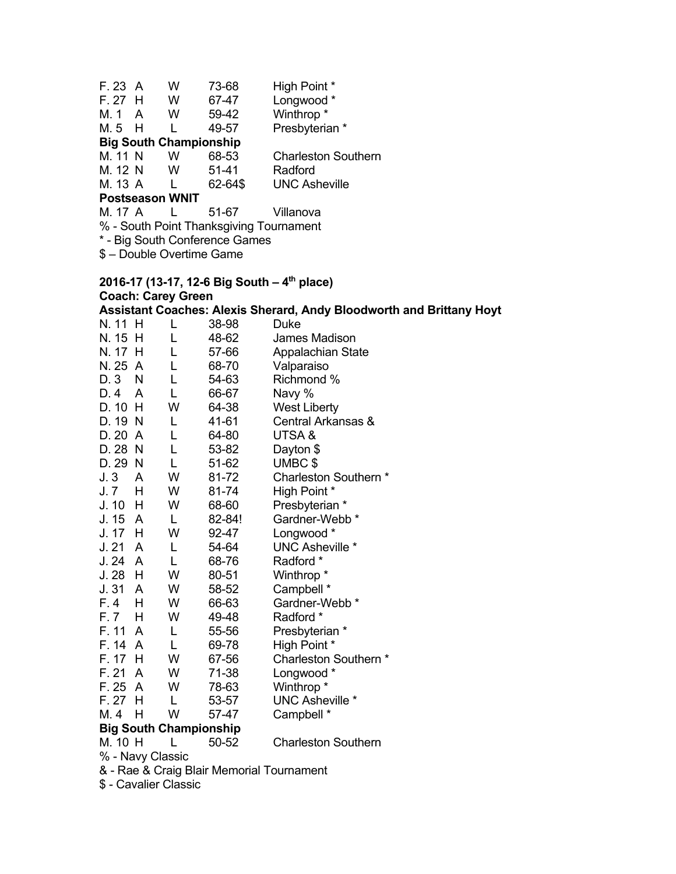| F. 23 A |                               | w | 73-68     | High Point *               |  |  |  |
|---------|-------------------------------|---|-----------|----------------------------|--|--|--|
| F. 27 H |                               | w | 67-47     | Longwood *                 |  |  |  |
| M. 1    | A                             | w | 59-42     | Winthrop <sup>*</sup>      |  |  |  |
| M.5 H   |                               |   | 49-57     | Presbyterian *             |  |  |  |
|         | <b>Big South Championship</b> |   |           |                            |  |  |  |
| M. 11 N |                               | w | 68-53     | <b>Charleston Southern</b> |  |  |  |
| M. 12 N |                               | w | $51 - 41$ | Radford                    |  |  |  |
| M. 13 A |                               |   | 62-64\$   | <b>UNC Asheville</b>       |  |  |  |
|         | <b>Postseason WNIT</b>        |   |           |                            |  |  |  |

### M. 17 A L 51-67 Villanova

% - South Point Thanksgiving Tournament

\* - Big South Conference Games

\$ – Double Overtime Game

### **2016-17 (13-17, 12-6 Big South – 4th place) Coach: Carey Green Assistant Coaches: Alexis Sherard, Andy Bloodworth and Brittany Hoyt**

| N. 11      | н              | L  | 38-98  | Duke                      |
|------------|----------------|----|--------|---------------------------|
| N. 15      | H              | L  | 48-62  | James Madison             |
| N. 17      | H              | L  | 57-66  | Appalachian State         |
| N. 25      | $\overline{A}$ | L  | 68-70  | Valparaiso                |
| D. 3       | N              | L  | 54-63  | Richmond %                |
| D. 4       | A              | L  | 66-67  | Navy %                    |
| D. 10      | н              | W  | 64-38  | <b>West Liberty</b>       |
| D. 19      | N              | L  | 41-61  | Central Arkansas &        |
| D.20       | A              | L  | 64-80  | UTSA&                     |
| D. 28      | N              | L  | 53-82  | Dayton \$                 |
| D. 29      | N              | L  | 51-62  | UMBC\$                    |
| J.3        | A              | W  | 81-72  | Charleston Southern *     |
| J. 7       | н              | W  | 81-74  | High Point *              |
| J. 10      | н              | W  | 68-60  | Presbyterian *            |
| J. 15      | A              | L  | 82-84! | Gardner-Webb <sup>*</sup> |
| J. 17      | н              | W  | 92-47  | Longwood *                |
| J.21       | A              | L  | 54-64  | <b>UNC Asheville *</b>    |
| J. 24      | A              | L  | 68-76  | Radford *                 |
| J. 28      | н              | W  | 80-51  | Winthrop <sup>*</sup>     |
| J. 31      | A              | W  | 58-52  | Campbell *                |
| F. 4       | н              | W  | 66-63  | Gardner-Webb *            |
| F. 7       | н              | W  | 49-48  | Radford *                 |
| F. 11      | A              | L  | 55-56  | Presbyterian *            |
| F. 14      | A              | L  | 69-78  | High Point *              |
| F. 17      | н              | W  | 67-56  | Charleston Southern *     |
| F. 21      | A              | W  | 71-38  | Longwood *                |
| F. 25      | A              | W  | 78-63  | Winthrop <sup>*</sup>     |
| F. 27      | H              | L  | 53-57  | <b>UNC Asheville *</b>    |
| M. 4       | н              | W  | 57-47  | Campbell *                |
| - 0.<br>B. | - - - 4 1-     | ΛL | ---    |                           |

# **Big South Championship**

Charleston Southern

% - Navy Classic

& - Rae & Craig Blair Memorial Tournament

\$ - Cavalier Classic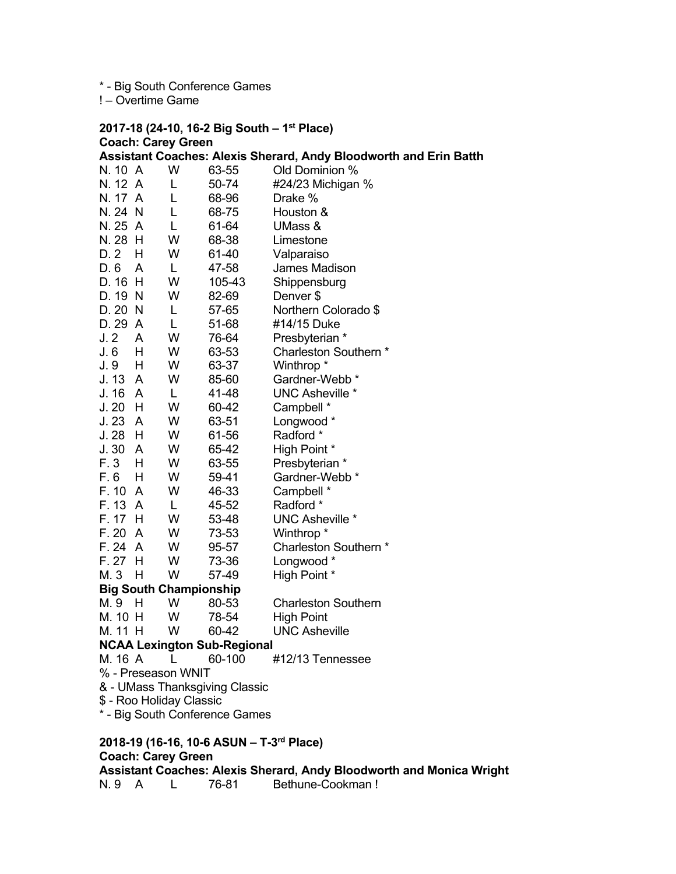\* - Big South Conference Games

! – Overtime Game

|                                          |                                               |                                | 2017-18 (24-10, 16-2 Big South - 1 <sup>st</sup> Place)                  |  |  |  |  |
|------------------------------------------|-----------------------------------------------|--------------------------------|--------------------------------------------------------------------------|--|--|--|--|
| <b>Coach: Carey Green</b>                |                                               |                                |                                                                          |  |  |  |  |
|                                          |                                               |                                | <b>Assistant Coaches: Alexis Sherard, Andy Bloodworth and Erin Batth</b> |  |  |  |  |
| N. 10 A                                  | W                                             | 63-55                          | Old Dominion %                                                           |  |  |  |  |
| N. 12 A                                  | L.                                            | 50-74                          | #24/23 Michigan %                                                        |  |  |  |  |
| N. 17 A                                  | L                                             | 68-96                          | Drake %                                                                  |  |  |  |  |
| N. 24 N                                  | L                                             | 68-75                          | Houston &                                                                |  |  |  |  |
| N. 25 A                                  | $\mathsf{L}$                                  | 61-64                          | UMass &                                                                  |  |  |  |  |
| N. 28 H                                  | W                                             | 68-38                          | Limestone                                                                |  |  |  |  |
| D. 2<br>H                                | W                                             | 61-40                          | Valparaiso                                                               |  |  |  |  |
| D. 6<br>A                                | $\mathsf{L}$                                  | 47-58                          | James Madison                                                            |  |  |  |  |
| D. 16 H                                  | W                                             | 105-43                         | Shippensburg                                                             |  |  |  |  |
| D. 19 N                                  | W                                             | 82-69                          | Denver \$                                                                |  |  |  |  |
| D. 20 N                                  | L                                             | 57-65                          | Northern Colorado \$                                                     |  |  |  |  |
| D. 29 A                                  | L                                             | 51-68                          | #14/15 Duke                                                              |  |  |  |  |
| J. 2<br>A                                | W                                             | 76-64                          | Presbyterian *                                                           |  |  |  |  |
| J. 6<br>H.                               | W                                             | 63-53                          | Charleston Southern *                                                    |  |  |  |  |
| H<br>J. 9                                | W                                             | 63-37                          | Winthrop *                                                               |  |  |  |  |
| J. 13 A                                  | W                                             | 85-60                          | Gardner-Webb *                                                           |  |  |  |  |
| J. 16 A                                  | L                                             | 41-48                          | <b>UNC Asheville *</b>                                                   |  |  |  |  |
| $J.20$ H                                 | W                                             | 60-42                          | Campbell *                                                               |  |  |  |  |
| J.23 A                                   | W                                             | 63-51                          | Longwood *                                                               |  |  |  |  |
| $J.28$ H                                 | W                                             | 61-56                          | Radford *                                                                |  |  |  |  |
| J.30 A                                   | W                                             | 65-42                          | High Point *                                                             |  |  |  |  |
| F. 3<br>H                                | W                                             | 63-55                          | Presbyterian *                                                           |  |  |  |  |
| F. 6<br>H                                | W                                             | 59-41                          | Gardner-Webb *                                                           |  |  |  |  |
| F. 10 A                                  | W                                             | 46-33                          | Campbell *                                                               |  |  |  |  |
| F. 13 A                                  | L                                             | 45-52                          | Radford *                                                                |  |  |  |  |
| F. 17 H                                  | W                                             | 53-48                          | <b>UNC Asheville *</b>                                                   |  |  |  |  |
| F. 20 A                                  | W                                             | 73-53                          | Winthrop <sup>*</sup>                                                    |  |  |  |  |
| F. 24 A                                  | W                                             | 95-57                          | Charleston Southern *                                                    |  |  |  |  |
| $F. 27$ H                                | W                                             | 73-36                          | Longwood *                                                               |  |  |  |  |
| M. 3<br>H                                | W                                             | 57-49                          | High Point *                                                             |  |  |  |  |
| <b>Big South Championship</b>            |                                               |                                |                                                                          |  |  |  |  |
| M.9 H                                    | W                                             | 80-53                          | <b>Charleston Southern</b>                                               |  |  |  |  |
| M. 10 H                                  | W                                             | 78-54                          | High Point                                                               |  |  |  |  |
|                                          | M. 11 H<br><b>UNC Asheville</b><br>W<br>60-42 |                                |                                                                          |  |  |  |  |
|                                          | <b>NCAA Lexington Sub-Regional</b>            |                                |                                                                          |  |  |  |  |
| M. 16 A                                  |                                               | 60-100                         | #12/13 Tennessee                                                         |  |  |  |  |
| % - Preseason WNIT                       |                                               |                                |                                                                          |  |  |  |  |
| \$ - Roo Holiday Classic                 |                                               | & - UMass Thanksgiving Classic |                                                                          |  |  |  |  |
|                                          |                                               | * - Big South Conference Games |                                                                          |  |  |  |  |
|                                          |                                               |                                |                                                                          |  |  |  |  |
| 2018-19 (16-16, 10-6 ASUN - T-3rd Place) |                                               |                                |                                                                          |  |  |  |  |

# **Coach: Carey Green**

**Assistant Coaches: Alexis Sherard, Andy Bloodworth and Monica Wright**  N. 9 A L 76-81 Bethune-Cookman !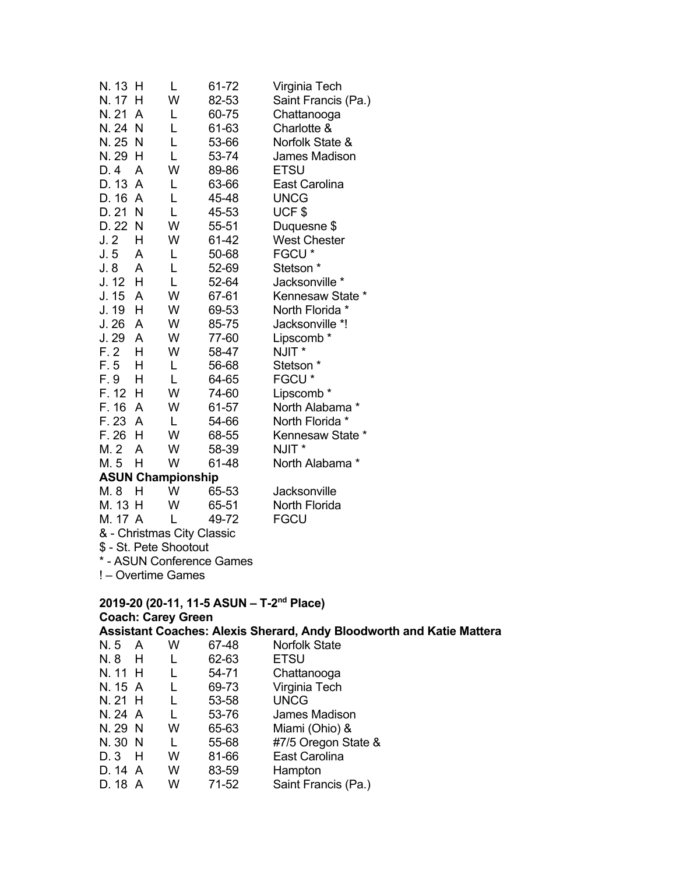| N. 13 | н              | L                        | 61-72 | Virginia Tech        |
|-------|----------------|--------------------------|-------|----------------------|
| N. 17 | н              | W                        | 82-53 | Saint Francis (Pa.)  |
| N. 21 | A              | L                        | 60-75 | Chattanooga          |
| N. 24 | N              | L                        | 61-63 | Charlotte &          |
| N. 25 | N              | L                        | 53-66 | Norfolk State &      |
| N. 29 | н              | L                        | 53-74 | <b>James Madison</b> |
| D. 4  | A              | W                        | 89-86 | <b>ETSU</b>          |
| D. 13 | A              | L                        | 63-66 | East Carolina        |
| D. 16 | $\overline{A}$ | L                        | 45-48 | <b>UNCG</b>          |
| D. 21 | N              | L                        | 45-53 | UCF\$                |
| D. 22 | N              | W                        | 55-51 | Duquesne \$          |
| J.2   | н              | W                        | 61-42 | <b>West Chester</b>  |
| J. 5  | A              | L                        | 50-68 | FGCU <sup>*</sup>    |
| J.8   | A              | L                        | 52-69 | Stetson <sup>*</sup> |
| J. 12 | н              | L                        | 52-64 | Jacksonville *       |
| J. 15 | A              | W                        | 67-61 | Kennesaw State *     |
| J. 19 | Н              | W                        | 69-53 | North Florida *      |
| J.26  | A              | W                        | 85-75 | Jacksonville *!      |
| J. 29 | A              | W                        | 77-60 | Lipscomb*            |
| F.2   | Н              | W                        | 58-47 | NJIT *               |
| F.5   | н              | L                        | 56-68 | Stetson <sup>*</sup> |
| F. 9  | н              | L                        | 64-65 | FGCU*                |
| F. 12 | н              | W                        | 74-60 | Lipscomb*            |
| F. 16 | A              | W                        | 61-57 | North Alabama *      |
| F. 23 | A              | L                        | 54-66 | North Florida *      |
| F. 26 | H              | W                        | 68-55 | Kennesaw State *     |
| M. 2  | A              | W                        | 58-39 | NJIT*                |
| M. 5  | н              | W                        | 61-48 | North Alabama *      |
|       |                | <b>ASUN Championship</b> |       |                      |
| M. 8  | н              | W                        | 65-53 | Jacksonville         |

# M. 13 H W 65-51 North Florida

M. 17 A L 49-72 FGCU & - Christmas City Classic

\$ - St. Pete Shootout

\* - ASUN Conference Games

! – Overtime Games

### **2019-20 (20-11, 11-5 ASUN – T-2nd Place) Coach: Carey Green**

# **Assistant Coaches: Alexis Sherard, Andy Bloodworth and Katie Mattera**

| N.5 A   | W | 67-48 | <b>Norfolk State</b> |
|---------|---|-------|----------------------|
| N.8 H   | L | 62-63 | <b>ETSU</b>          |
| N. 11 H |   | 54-71 | Chattanooga          |
| N. 15 A | L | 69-73 | Virginia Tech        |
| N. 21 H | L | 53-58 | <b>UNCG</b>          |
| N. 24 A | L | 53-76 | James Madison        |
| N. 29 N | w | 65-63 | Miami (Ohio) &       |
| N. 30 N | L | 55-68 | #7/5 Oregon State &  |
| $D.3$ H | W | 81-66 | East Carolina        |
| D. 14 A | w | 83-59 | Hampton              |
| D. 18 A | W | 71-52 | Saint Francis (Pa.)  |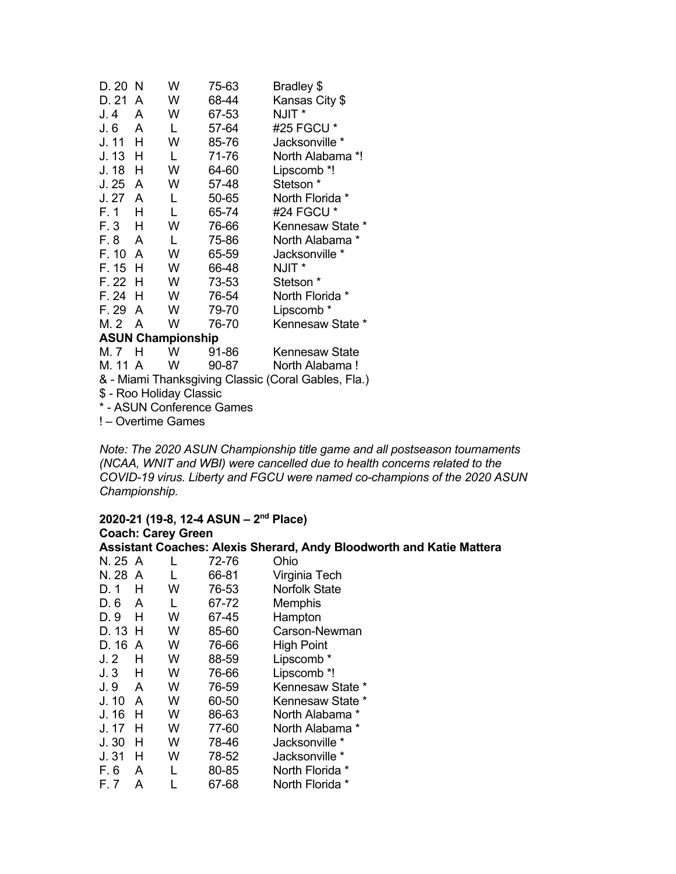| D. 20                                               | N | W | 75-63 | Bradley \$            |  |  |
|-----------------------------------------------------|---|---|-------|-----------------------|--|--|
| D. 21                                               | A | W | 68-44 | Kansas City \$        |  |  |
| J.4                                                 | A | W | 67-53 | NJIT <sup>*</sup>     |  |  |
| J. 6                                                | A | L | 57-64 | #25 FGCU *            |  |  |
| J. 11                                               | н | W | 85-76 | Jacksonville *        |  |  |
| J. 13                                               | н | L | 71-76 | North Alabama *!      |  |  |
| J. 18                                               | н | W | 64-60 | Lipscomb *!           |  |  |
| J.25                                                | A | W | 57-48 | Stetson <sup>*</sup>  |  |  |
| J. 27                                               | A | L | 50-65 | North Florida *       |  |  |
| F. 1                                                | н | L | 65-74 | #24 FGCU *            |  |  |
| F. 3                                                | н | W | 76-66 | Kennesaw State *      |  |  |
| F. 8                                                | A | L | 75-86 | North Alabama*        |  |  |
| F. 10                                               | A | W | 65-59 | Jacksonville *        |  |  |
| F. 15                                               | н | W | 66-48 | NJIT *                |  |  |
| F. 22                                               | Н | W | 73-53 | Stetson *             |  |  |
| F. 24                                               | н | W | 76-54 | North Florida *       |  |  |
| F. 29                                               | A | W | 79-70 | Lipscomb *            |  |  |
| M. 2                                                | A | w | 76-70 | Kennesaw State *      |  |  |
| <b>ASUN Championship</b>                            |   |   |       |                       |  |  |
| M. 7                                                | н | W | 91-86 | <b>Kennesaw State</b> |  |  |
| M. 11 A                                             |   | w | 90-87 | North Alabama!        |  |  |
| & - Miami Thanksgiving Classic (Coral Gables, Fla.) |   |   |       |                       |  |  |

\$ - Roo Holiday Classic

\* - ASUN Conference Games

! – Overtime Games

*Note: The 2020 ASUN Championship title game and all postseason tournaments (NCAA, WNIT and WBI) were cancelled due to health concerns related to the COVID-19 virus. Liberty and FGCU were named co-champions of the 2020 ASUN Championship.* 

#### **2020-21 (19-8, 12-4 ASUN – 2nd Place) Coach: Carey Green Assistant Coaches: Alexis Sherard, Andy Bloodworth and Katie Mattera**

| N. 25 A        |   | L | 72-76 | Ohio                 |
|----------------|---|---|-------|----------------------|
| N. 28          | A | L | 66-81 | Virginia Tech        |
| D. 1           | н | w | 76-53 | <b>Norfolk State</b> |
| D. 6           | A | L | 67-72 | Memphis              |
| D. 9           | н | W | 67-45 | Hampton              |
| D. 13          | н | w | 85-60 | Carson-Newman        |
| D. 16          | A | w | 76-66 | High Point           |
| J <sub>2</sub> | н | W | 88-59 | Lipscomb *           |
| J.3            | н | W | 76-66 | Lipscomb *!          |
| J. 9           | A | w | 76-59 | Kennesaw State *     |
| J. 10          | A | w | 60-50 | Kennesaw State *     |
| J. 16          | н | W | 86-63 | North Alabama *      |
| J. 17          | н | w | 77-60 | North Alabama *      |
| J.30           | н | W | 78-46 | Jacksonville *       |
| J.31           | н | w | 78-52 | Jacksonville *       |
| F. 6           | A | L | 80-85 | North Florida *      |
| F. 7           | А |   | 67-68 | North Florida *      |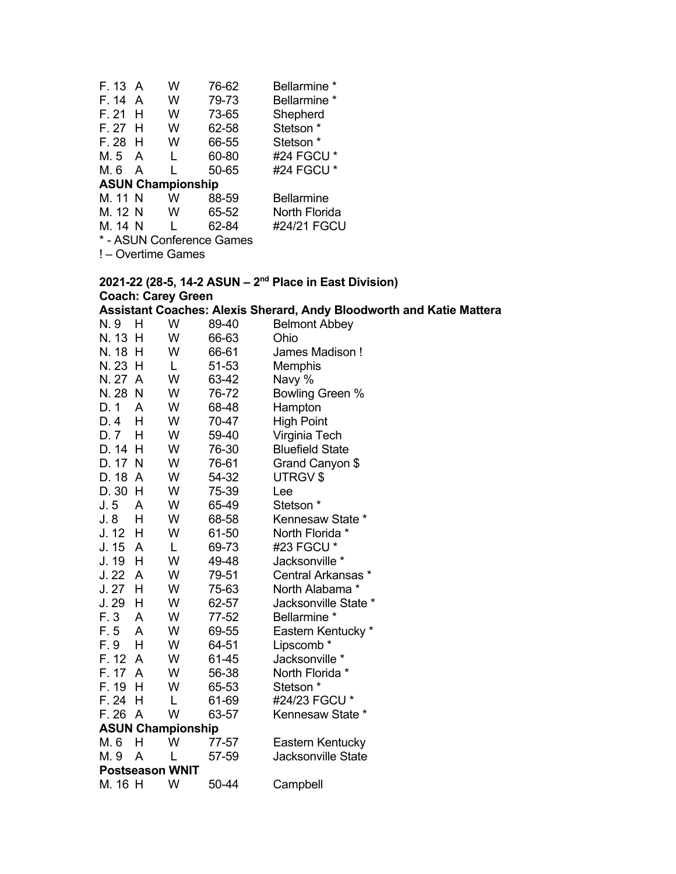| F. 13 A                   |   | W | 76-62 | Bellarmine *         |  |  |
|---------------------------|---|---|-------|----------------------|--|--|
| F. 14                     | A | w | 79-73 | Bellarmine *         |  |  |
| F. 21                     | н | w | 73-65 | Shepherd             |  |  |
| F. 27                     | H | w | 62-58 | Stetson <sup>*</sup> |  |  |
| F. 28                     | H | w | 66-55 | Stetson *            |  |  |
| M. 5                      | A | L | 60-80 | #24 FGCU *           |  |  |
| M. 6                      | A |   | 50-65 | #24 FGCU *           |  |  |
| <b>ASUN Championship</b>  |   |   |       |                      |  |  |
| M. 11 N                   |   | w | 88-59 | Bellarmine           |  |  |
| M. 12 N                   |   | w | 65-52 | North Florida        |  |  |
| M. 14 N                   |   |   | 62-84 | #24/21 FGCU          |  |  |
| * - ASUN Conference Games |   |   |       |                      |  |  |

! – Overtime Games

### **2021-22 (28-5, 14-2 ASUN – 2nd Place in East Division) Coach: Carey Green**

#### **Assistant Coaches: Alexis Sherard, Andy Bloodworth and Katie Mattera**

| N. 9                     | н | W | 89-40 | <b>Belmont Abbey</b>      |
|--------------------------|---|---|-------|---------------------------|
| N. 13                    | н | W | 66-63 | Ohio                      |
| N. 18                    | н | W | 66-61 | James Madison!            |
| N. 23                    | H | L | 51-53 | Memphis                   |
| N. 27                    | A | W | 63-42 | Navy %                    |
| N. 28                    | N | W | 76-72 | Bowling Green %           |
| D. 1                     | Α | W | 68-48 | Hampton                   |
| D. 4                     | н | W | 70-47 | <b>High Point</b>         |
| D. 7                     | н | W | 59-40 | Virginia Tech             |
| D. 14                    | Н | W | 76-30 | <b>Bluefield State</b>    |
| D. 17                    | N | W | 76-61 | Grand Canyon \$           |
| D. 18                    | A | W | 54-32 | UTRGV \$                  |
| D.30                     | н | W | 75-39 | Lee                       |
| J. 5                     | A | W | 65-49 | Stetson <sup>*</sup>      |
| J. 8                     | Н | W | 68-58 | Kennesaw State *          |
| J. 12                    | H | W | 61-50 | North Florida *           |
| J. 15                    | A | L | 69-73 | #23 FGCU *                |
| J. 19                    | н | W | 49-48 | Jacksonville *            |
| J. 22                    | A | W | 79-51 | Central Arkansas *        |
| J.27                     | Н | W | 75-63 | North Alabama *           |
| J. 29                    | H | W | 62-57 | Jacksonville State *      |
| F. 3                     | A | W | 77-52 | Bellarmine *              |
| F. 5                     | A | W | 69-55 | Eastern Kentucky *        |
| F. 9                     | н | W | 64-51 | Lipscomb*                 |
| F. 12                    | A | W | 61-45 | Jacksonville *            |
| F. 17 A                  |   | W | 56-38 | North Florida *           |
| F. 19                    | н | W | 65-53 | Stetson <sup>*</sup>      |
| F. 24                    | Н | L | 61-69 | #24/23 FGCU *             |
| F. 26                    | A | W | 63-57 | Kennesaw State *          |
| <b>ASUN Championship</b> |   |   |       |                           |
| M. 6                     | н | W | 77-57 | Eastern Kentucky          |
| M. 9                     | A |   | 57-59 | <b>Jacksonville State</b> |
| <b>Postseason WNIT</b>   |   |   |       |                           |
| M. 16 H                  |   | W | 50-44 | Campbell                  |